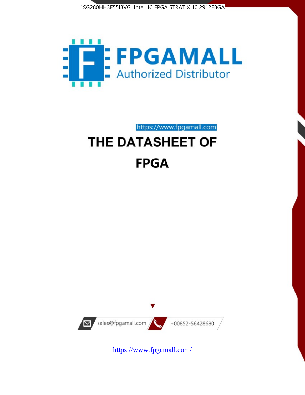



https://www.fpgamall.com

# THE DATASHEET OF **FPGA**



<https://www.fpgamall.com/>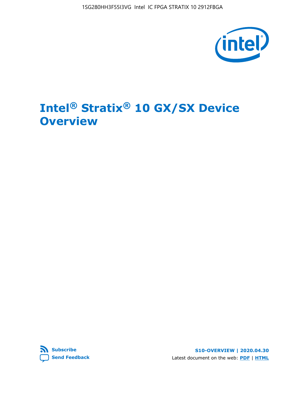1SG280HH3F55I3VG Intel IC FPGA STRATIX 10 2912FBGA



# **Intel® Stratix® 10 GX/SX Device Overview**



**S10-OVERVIEW | 2020.04.30** Latest document on the web: **[PDF](https://www.intel.com/content/dam/www/programmable/us/en/pdfs/literature/hb/stratix-10/s10-overview.pdf)** | **[HTML](https://www.intel.com/content/www/us/en/programmable/documentation/joc1442261161666.html)**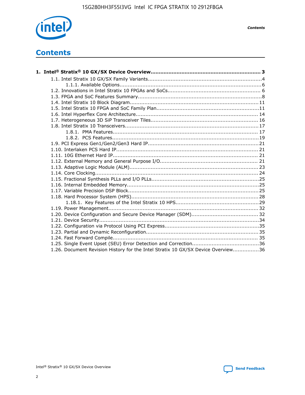

*Contents*

# **Contents**

| 1.26. Document Revision History for the Intel Stratix 10 GX/SX Device Overview36 |  |
|----------------------------------------------------------------------------------|--|

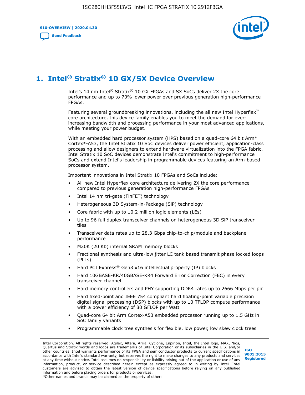**S10-OVERVIEW | 2020.04.30**

**[Send Feedback](mailto:FPGAtechdocfeedback@intel.com?subject=Feedback%20on%20Intel%20Stratix%2010%20GX/SX%20Device%20Overview%20(S10-OVERVIEW%202020.04.30)&body=We%20appreciate%20your%20feedback.%20In%20your%20comments,%20also%20specify%20the%20page%20number%20or%20paragraph.%20Thank%20you.)**



# **1. Intel® Stratix® 10 GX/SX Device Overview**

Intel's 14 nm Intel® Stratix® 10 GX FPGAs and SX SoCs deliver 2X the core performance and up to 70% lower power over previous generation high-performance FPGAs.

Featuring several groundbreaking innovations, including the all new Intel Hyperflex™ core architecture, this device family enables you to meet the demand for everincreasing bandwidth and processing performance in your most advanced applications, while meeting your power budget.

With an embedded hard processor system (HPS) based on a quad-core 64 bit Arm\* Cortex\*-A53, the Intel Stratix 10 SoC devices deliver power efficient, application-class processing and allow designers to extend hardware virtualization into the FPGA fabric. Intel Stratix 10 SoC devices demonstrate Intel's commitment to high-performance SoCs and extend Intel's leadership in programmable devices featuring an Arm-based processor system.

Important innovations in Intel Stratix 10 FPGAs and SoCs include:

- All new Intel Hyperflex core architecture delivering 2X the core performance compared to previous generation high-performance FPGAs
- Intel 14 nm tri-gate (FinFET) technology
- Heterogeneous 3D System-in-Package (SiP) technology
- Core fabric with up to 10.2 million logic elements (LEs)
- Up to 96 full duplex transceiver channels on heterogeneous 3D SiP transceiver tiles
- Transceiver data rates up to 28.3 Gbps chip-to-chip/module and backplane performance
- M20K (20 Kb) internal SRAM memory blocks
- Fractional synthesis and ultra-low jitter LC tank based transmit phase locked loops (PLLs)
- Hard PCI Express<sup>®</sup> Gen3 x16 intellectual property (IP) blocks
- Hard 10GBASE-KR/40GBASE-KR4 Forward Error Correction (FEC) in every transceiver channel
- Hard memory controllers and PHY supporting DDR4 rates up to 2666 Mbps per pin
- Hard fixed-point and IEEE 754 compliant hard floating-point variable precision digital signal processing (DSP) blocks with up to 10 TFLOP compute performance with a power efficiency of 80 GFLOP per Watt
- Quad-core 64 bit Arm Cortex-A53 embedded processor running up to 1.5 GHz in SoC family variants
- Programmable clock tree synthesis for flexible, low power, low skew clock trees

Intel Corporation. All rights reserved. Agilex, Altera, Arria, Cyclone, Enpirion, Intel, the Intel logo, MAX, Nios, Quartus and Stratix words and logos are trademarks of Intel Corporation or its subsidiaries in the U.S. and/or other countries. Intel warrants performance of its FPGA and semiconductor products to current specifications in accordance with Intel's standard warranty, but reserves the right to make changes to any products and services at any time without notice. Intel assumes no responsibility or liability arising out of the application or use of any information, product, or service described herein except as expressly agreed to in writing by Intel. Intel customers are advised to obtain the latest version of device specifications before relying on any published information and before placing orders for products or services. \*Other names and brands may be claimed as the property of others.

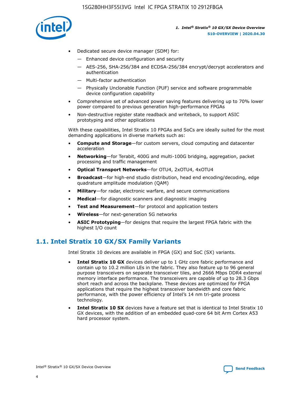

- Dedicated secure device manager (SDM) for:
	- Enhanced device configuration and security
	- AES-256, SHA-256/384 and ECDSA-256/384 encrypt/decrypt accelerators and authentication
	- Multi-factor authentication
	- Physically Unclonable Function (PUF) service and software programmable device configuration capability
- Comprehensive set of advanced power saving features delivering up to 70% lower power compared to previous generation high-performance FPGAs
- Non-destructive register state readback and writeback, to support ASIC prototyping and other applications

With these capabilities, Intel Stratix 10 FPGAs and SoCs are ideally suited for the most demanding applications in diverse markets such as:

- **Compute and Storage**—for custom servers, cloud computing and datacenter acceleration
- **Networking**—for Terabit, 400G and multi-100G bridging, aggregation, packet processing and traffic management
- **Optical Transport Networks**—for OTU4, 2xOTU4, 4xOTU4
- **Broadcast**—for high-end studio distribution, head end encoding/decoding, edge quadrature amplitude modulation (QAM)
- **Military**—for radar, electronic warfare, and secure communications
- **Medical**—for diagnostic scanners and diagnostic imaging
- **Test and Measurement**—for protocol and application testers
- **Wireless**—for next-generation 5G networks
- **ASIC Prototyping**—for designs that require the largest FPGA fabric with the highest I/O count

# **1.1. Intel Stratix 10 GX/SX Family Variants**

Intel Stratix 10 devices are available in FPGA (GX) and SoC (SX) variants.

- **Intel Stratix 10 GX** devices deliver up to 1 GHz core fabric performance and contain up to 10.2 million LEs in the fabric. They also feature up to 96 general purpose transceivers on separate transceiver tiles, and 2666 Mbps DDR4 external memory interface performance. The transceivers are capable of up to 28.3 Gbps short reach and across the backplane. These devices are optimized for FPGA applications that require the highest transceiver bandwidth and core fabric performance, with the power efficiency of Intel's 14 nm tri-gate process technology.
- **Intel Stratix 10 SX** devices have a feature set that is identical to Intel Stratix 10 GX devices, with the addition of an embedded quad-core 64 bit Arm Cortex A53 hard processor system.

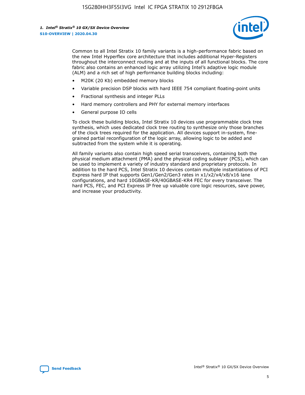

Common to all Intel Stratix 10 family variants is a high-performance fabric based on the new Intel Hyperflex core architecture that includes additional Hyper-Registers throughout the interconnect routing and at the inputs of all functional blocks. The core fabric also contains an enhanced logic array utilizing Intel's adaptive logic module (ALM) and a rich set of high performance building blocks including:

- M20K (20 Kb) embedded memory blocks
- Variable precision DSP blocks with hard IEEE 754 compliant floating-point units
- Fractional synthesis and integer PLLs
- Hard memory controllers and PHY for external memory interfaces
- General purpose IO cells

To clock these building blocks, Intel Stratix 10 devices use programmable clock tree synthesis, which uses dedicated clock tree routing to synthesize only those branches of the clock trees required for the application. All devices support in-system, finegrained partial reconfiguration of the logic array, allowing logic to be added and subtracted from the system while it is operating.

All family variants also contain high speed serial transceivers, containing both the physical medium attachment (PMA) and the physical coding sublayer (PCS), which can be used to implement a variety of industry standard and proprietary protocols. In addition to the hard PCS, Intel Stratix 10 devices contain multiple instantiations of PCI Express hard IP that supports Gen1/Gen2/Gen3 rates in x1/x2/x4/x8/x16 lane configurations, and hard 10GBASE-KR/40GBASE-KR4 FEC for every transceiver. The hard PCS, FEC, and PCI Express IP free up valuable core logic resources, save power, and increase your productivity.

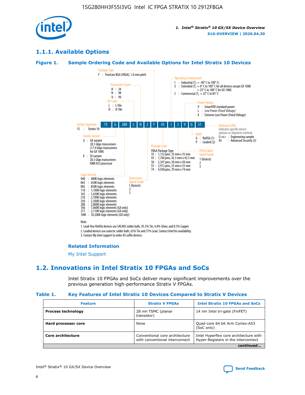

# **1.1.1. Available Options**

#### **Figure 1. Sample Ordering Code and Available Options for Intel Stratix 10 Devices**



# **Related Information**

[My Intel Support](https://www.intel.com/content/www/us/en/programmable/my-intel/mal-home.html)

# **1.2. Innovations in Intel Stratix 10 FPGAs and SoCs**

Intel Stratix 10 FPGAs and SoCs deliver many significant improvements over the previous generation high-performance Stratix V FPGAs.

#### **Table 1. Key Features of Intel Stratix 10 Devices Compared to Stratix V Devices**

| <b>Feature</b>            | <b>Stratix V FPGAs</b>                                           | <b>Intel Stratix 10 FPGAs and SoCs</b>                                        |
|---------------------------|------------------------------------------------------------------|-------------------------------------------------------------------------------|
| <b>Process technology</b> | 28 nm TSMC (planar<br>transistor)                                | 14 nm Intel tri-gate (FinFET)                                                 |
| Hard processor core       | None                                                             | Quad-core 64 bit Arm Cortex-A53<br>(SoC only)                                 |
| Core architecture         | Conventional core architecture<br>with conventional interconnect | Intel Hyperflex core architecture with<br>Hyper-Registers in the interconnect |
|                           |                                                                  | continued                                                                     |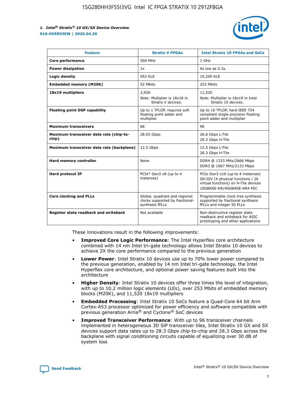

| <b>Feature</b>                                   | <b>Stratix V FPGAs</b>                                                              | <b>Intel Stratix 10 FPGAs and SoCs</b>                                                                                                       |
|--------------------------------------------------|-------------------------------------------------------------------------------------|----------------------------------------------------------------------------------------------------------------------------------------------|
| Core performance                                 | 500 MHz                                                                             | 1 GHz                                                                                                                                        |
| <b>Power dissipation</b>                         | 1x                                                                                  | As low as $0.3x$                                                                                                                             |
| Logic density                                    | <b>952 KLE</b>                                                                      | 10,200 KLE                                                                                                                                   |
| <b>Embedded memory (M20K)</b>                    | 52 Mbits                                                                            | 253 Mbits                                                                                                                                    |
| 18x19 multipliers                                | 3,926                                                                               | 11,520                                                                                                                                       |
|                                                  | Note: Multiplier is 18x18 in<br>Stratix V devices.                                  | Note: Multiplier is 18x19 in Intel<br>Stratix 10 devices.                                                                                    |
| <b>Floating point DSP capability</b>             | Up to 1 TFLOP, requires soft<br>floating point adder and<br>multiplier              | Up to 10 TFLOP, hard IEEE 754<br>compliant single precision floating<br>point adder and multiplier                                           |
| <b>Maximum transceivers</b>                      | 66                                                                                  | 96                                                                                                                                           |
| Maximum transceiver data rate (chip-to-<br>chip) | 28.05 Gbps                                                                          | 26.6 Gbps L-Tile<br>28.3 Gbps H-Tile                                                                                                         |
| Maximum transceiver data rate (backplane)        | 12.5 Gbps                                                                           | 12.5 Gbps L-Tile<br>28.3 Gbps H-Tile                                                                                                         |
| Hard memory controller                           | None                                                                                | DDR4 @ 1333 MHz/2666 Mbps<br>DDR3 @ 1067 MHz/2133 Mbps                                                                                       |
| Hard protocol IP                                 | PCIe* Gen3 x8 (up to 4<br>instances)                                                | PCIe Gen3 x16 (up to 4 instances)<br>SR-IOV (4 physical functions / 2k<br>virtual functions) on H-Tile devices<br>10GBASE-KR/40GBASE-KR4 FEC |
| <b>Core clocking and PLLs</b>                    | Global, quadrant and regional<br>clocks supported by fractional-<br>synthesis fPLLs | Programmable clock tree synthesis<br>supported by fractional synthesis<br>fPLLs and integer IO PLLs                                          |
| Register state readback and writeback            | Not available                                                                       | Non-destructive register state<br>readback and writeback for ASIC<br>prototyping and other applications                                      |

These innovations result in the following improvements:

- **Improved Core Logic Performance**: The Intel Hyperflex core architecture combined with 14 nm Intel tri-gate technology allows Intel Stratix 10 devices to achieve 2X the core performance compared to the previous generation
- **Lower Power**: Intel Stratix 10 devices use up to 70% lower power compared to the previous generation, enabled by 14 nm Intel tri-gate technology, the Intel Hyperflex core architecture, and optional power saving features built into the architecture
- **Higher Density**: Intel Stratix 10 devices offer three times the level of integration, with up to 10.2 million logic elements (LEs), over 253 Mbits of embedded memory blocks (M20K), and 11,520 18x19 multipliers
- **Embedded Processing**: Intel Stratix 10 SoCs feature a Quad-Core 64 bit Arm Cortex-A53 processor optimized for power efficiency and software compatible with previous generation Arria® and Cyclone® SoC devices
- **Improved Transceiver Performance**: With up to 96 transceiver channels implemented in heterogeneous 3D SiP transceiver tiles, Intel Stratix 10 GX and SX devices support data rates up to 28.3 Gbps chip-to-chip and 28.3 Gbps across the backplane with signal conditioning circuits capable of equalizing over 30 dB of system loss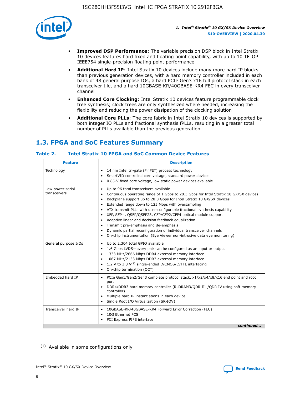

- **Improved DSP Performance**: The variable precision DSP block in Intel Stratix 10 devices features hard fixed and floating point capability, with up to 10 TFLOP IEEE754 single-precision floating point performance
- **Additional Hard IP**: Intel Stratix 10 devices include many more hard IP blocks than previous generation devices, with a hard memory controller included in each bank of 48 general purpose IOs, a hard PCIe Gen3 x16 full protocol stack in each transceiver tile, and a hard 10GBASE-KR/40GBASE-KR4 FEC in every transceiver channel
- **Enhanced Core Clocking**: Intel Stratix 10 devices feature programmable clock tree synthesis; clock trees are only synthesized where needed, increasing the flexibility and reducing the power dissipation of the clocking solution
- **Additional Core PLLs**: The core fabric in Intel Stratix 10 devices is supported by both integer IO PLLs and fractional synthesis fPLLs, resulting in a greater total number of PLLs available than the previous generation

# **1.3. FPGA and SoC Features Summary**

#### **Table 2. Intel Stratix 10 FPGA and SoC Common Device Features**

|                                  | <b>Description</b><br><b>Feature</b>                                                                                                                                                                                                                                                                                                                                                                                                                                                                                                                                                                                                                                                                                       |  |  |
|----------------------------------|----------------------------------------------------------------------------------------------------------------------------------------------------------------------------------------------------------------------------------------------------------------------------------------------------------------------------------------------------------------------------------------------------------------------------------------------------------------------------------------------------------------------------------------------------------------------------------------------------------------------------------------------------------------------------------------------------------------------------|--|--|
| Technology                       | 14 nm Intel tri-gate (FinFET) process technology<br>$\bullet$<br>SmartVID controlled core voltage, standard power devices<br>0.85-V fixed core voltage, low static power devices available<br>$\bullet$                                                                                                                                                                                                                                                                                                                                                                                                                                                                                                                    |  |  |
| Low power serial<br>transceivers | Up to 96 total transceivers available<br>$\bullet$<br>Continuous operating range of 1 Gbps to 28.3 Gbps for Intel Stratix 10 GX/SX devices<br>Backplane support up to 28.3 Gbps for Intel Stratix 10 GX/SX devices<br>$\bullet$<br>Extended range down to 125 Mbps with oversampling<br>ATX transmit PLLs with user-configurable fractional synthesis capability<br>$\bullet$<br>• XFP, SFP+, QSFP/QSFP28, CFP/CFP2/CFP4 optical module support<br>• Adaptive linear and decision feedback equalization<br>Transmit pre-emphasis and de-emphasis<br>Dynamic partial reconfiguration of individual transceiver channels<br>$\bullet$<br>On-chip instrumentation (Eye Viewer non-intrusive data eye monitoring)<br>$\bullet$ |  |  |
| General purpose I/Os             | Up to 2,304 total GPIO available<br>$\bullet$<br>1.6 Gbps LVDS-every pair can be configured as an input or output<br>$\bullet$<br>1333 MHz/2666 Mbps DDR4 external memory interface<br>1067 MHz/2133 Mbps DDR3 external memory interface<br>• 1.2 V to 3.3 $V^{(1)}$ single-ended LVCMOS/LVTTL interfacing<br>On-chip termination (OCT)<br>$\bullet$                                                                                                                                                                                                                                                                                                                                                                       |  |  |
| Embedded hard IP                 | PCIe Gen1/Gen2/Gen3 complete protocol stack, x1/x2/x4/x8/x16 end point and root<br>$\bullet$<br>port<br>DDR4/DDR3 hard memory controller (RLDRAM3/QDR II+/QDR IV using soft memory<br>controller)<br>• Multiple hard IP instantiations in each device<br>• Single Root I/O Virtualization (SR-IOV)                                                                                                                                                                                                                                                                                                                                                                                                                         |  |  |
| Transceiver hard IP              | 10GBASE-KR/40GBASE-KR4 Forward Error Correction (FEC)<br>$\bullet$<br>10G Ethernet PCS<br>$\bullet$<br>PCI Express PIPE interface<br>$\bullet$<br>continued                                                                                                                                                                                                                                                                                                                                                                                                                                                                                                                                                                |  |  |

<sup>(1)</sup> Available in some configurations only

8

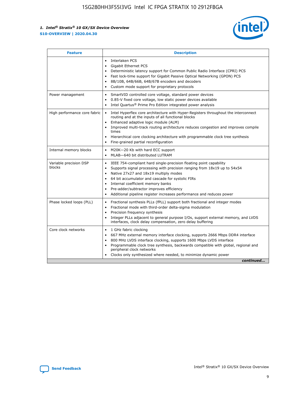

| <b>Feature</b>                   | <b>Description</b>                                                                                                                                                                                                                                                                                                                                                                                                                            |
|----------------------------------|-----------------------------------------------------------------------------------------------------------------------------------------------------------------------------------------------------------------------------------------------------------------------------------------------------------------------------------------------------------------------------------------------------------------------------------------------|
|                                  | Interlaken PCS<br>$\bullet$<br><b>Gigabit Ethernet PCS</b><br>$\bullet$<br>Deterministic latency support for Common Public Radio Interface (CPRI) PCS<br>$\bullet$<br>Fast lock-time support for Gigabit Passive Optical Networking (GPON) PCS<br>$\bullet$<br>8B/10B, 64B/66B, 64B/67B encoders and decoders<br>Custom mode support for proprietary protocols                                                                                |
| Power management                 | SmartVID controlled core voltage, standard power devices<br>$\bullet$<br>0.85-V fixed core voltage, low static power devices available<br>$\bullet$<br>Intel Quartus <sup>®</sup> Prime Pro Edition integrated power analysis                                                                                                                                                                                                                 |
| High performance core fabric     | Intel Hyperflex core architecture with Hyper-Registers throughout the interconnect<br>routing and at the inputs of all functional blocks<br>Enhanced adaptive logic module (ALM)<br>Improved multi-track routing architecture reduces congestion and improves compile<br>times<br>Hierarchical core clocking architecture with programmable clock tree synthesis<br>Fine-grained partial reconfiguration                                      |
| Internal memory blocks           | M20K-20 Kb with hard ECC support<br>MLAB-640 bit distributed LUTRAM                                                                                                                                                                                                                                                                                                                                                                           |
| Variable precision DSP<br>blocks | IEEE 754-compliant hard single-precision floating point capability<br>$\bullet$<br>Supports signal processing with precision ranging from 18x19 up to 54x54<br>$\bullet$<br>Native 27x27 and 18x19 multiply modes<br>٠<br>64 bit accumulator and cascade for systolic FIRs<br>Internal coefficient memory banks<br>Pre-adder/subtractor improves efficiency<br>٠<br>Additional pipeline register increases performance and reduces power<br>٠ |
| Phase locked loops (PLL)         | Fractional synthesis PLLs (fPLL) support both fractional and integer modes<br>$\bullet$<br>Fractional mode with third-order delta-sigma modulation<br>Precision frequency synthesis<br>٠<br>Integer PLLs adjacent to general purpose I/Os, support external memory, and LVDS<br>٠<br>interfaces, clock delay compensation, zero delay buffering                                                                                               |
| Core clock networks              | 1 GHz fabric clocking<br>٠<br>667 MHz external memory interface clocking, supports 2666 Mbps DDR4 interface<br>800 MHz LVDS interface clocking, supports 1600 Mbps LVDS interface<br>$\bullet$<br>Programmable clock tree synthesis, backwards compatible with global, regional and<br>$\bullet$<br>peripheral clock networks<br>Clocks only synthesized where needed, to minimize dynamic power<br>continued                                 |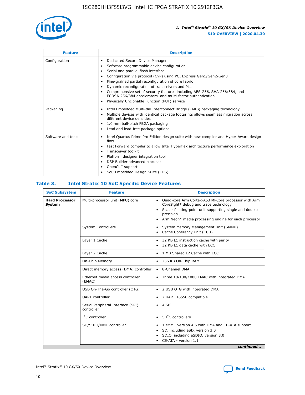

| <b>Feature</b>     | <b>Description</b>                                                                                                                                                                                                                                                                                                                                                                                                                                                                                                    |
|--------------------|-----------------------------------------------------------------------------------------------------------------------------------------------------------------------------------------------------------------------------------------------------------------------------------------------------------------------------------------------------------------------------------------------------------------------------------------------------------------------------------------------------------------------|
| Configuration      | Dedicated Secure Device Manager<br>٠<br>Software programmable device configuration<br>٠<br>Serial and parallel flash interface<br>٠<br>Configuration via protocol (CvP) using PCI Express Gen1/Gen2/Gen3<br>Fine-grained partial reconfiguration of core fabric<br>Dynamic reconfiguration of transceivers and PLLs<br>٠<br>Comprehensive set of security features including AES-256, SHA-256/384, and<br>ECDSA-256/384 accelerators, and multi-factor authentication<br>Physically Unclonable Function (PUF) service |
| Packaging          | Intel Embedded Multi-die Interconnect Bridge (EMIB) packaging technology<br>٠<br>Multiple devices with identical package footprints allows seamless migration across<br>$\bullet$<br>different device densities<br>1.0 mm ball-pitch FBGA packaging<br>٠<br>Lead and lead-free package options                                                                                                                                                                                                                        |
| Software and tools | Intel Quartus Prime Pro Edition design suite with new compiler and Hyper-Aware design<br>flow<br>Fast Forward compiler to allow Intel Hyperflex architecture performance exploration<br>٠<br>Transceiver toolkit<br>Platform designer integration tool<br>DSP Builder advanced blockset<br>OpenCL <sup>™</sup> support<br>SoC Embedded Design Suite (EDS)                                                                                                                                                             |

#### **Table 3. Intel Stratix 10 SoC Specific Device Features**

| <b>SoC Subsystem</b>            | <b>Feature</b>                                  | <b>Description</b>                                                                                                                                                                                                                                         |  |  |
|---------------------------------|-------------------------------------------------|------------------------------------------------------------------------------------------------------------------------------------------------------------------------------------------------------------------------------------------------------------|--|--|
| <b>Hard Processor</b><br>System | Multi-processor unit (MPU) core                 | Quad-core Arm Cortex-A53 MPCore processor with Arm<br>$\bullet$<br>CoreSight* debug and trace technology<br>Scalar floating-point unit supporting single and double<br>٠<br>precision<br>Arm Neon* media processing engine for each processor<br>$\bullet$ |  |  |
|                                 | <b>System Controllers</b>                       | System Memory Management Unit (SMMU)<br>٠<br>Cache Coherency Unit (CCU)<br>٠                                                                                                                                                                               |  |  |
|                                 | Layer 1 Cache                                   | 32 KB L1 instruction cache with parity<br>$\bullet$<br>32 KB L1 data cache with ECC<br>$\bullet$                                                                                                                                                           |  |  |
|                                 | Layer 2 Cache                                   | 1 MB Shared L2 Cache with ECC<br>$\bullet$                                                                                                                                                                                                                 |  |  |
|                                 | On-Chip Memory                                  | 256 KB On-Chip RAM<br>$\bullet$                                                                                                                                                                                                                            |  |  |
|                                 | Direct memory access (DMA) controller           | • 8-Channel DMA                                                                                                                                                                                                                                            |  |  |
|                                 | Ethernet media access controller<br>(EMAC)      | Three 10/100/1000 EMAC with integrated DMA<br>$\bullet$                                                                                                                                                                                                    |  |  |
|                                 | USB On-The-Go controller (OTG)                  | 2 USB OTG with integrated DMA<br>$\bullet$                                                                                                                                                                                                                 |  |  |
|                                 | <b>UART</b> controller                          | 2 UART 16550 compatible<br>$\bullet$                                                                                                                                                                                                                       |  |  |
|                                 | Serial Peripheral Interface (SPI)<br>controller | $\bullet$ 4 SPI                                                                                                                                                                                                                                            |  |  |
|                                 | $I2C$ controller                                | 5 <sup>2</sup> C controllers                                                                                                                                                                                                                               |  |  |
|                                 | SD/SDIO/MMC controller                          | 1 eMMC version 4.5 with DMA and CE-ATA support<br>$\bullet$<br>SD, including eSD, version 3.0<br>٠<br>SDIO, including eSDIO, version 3.0<br>$\bullet$<br>CE-ATA - version 1.1<br>continued                                                                 |  |  |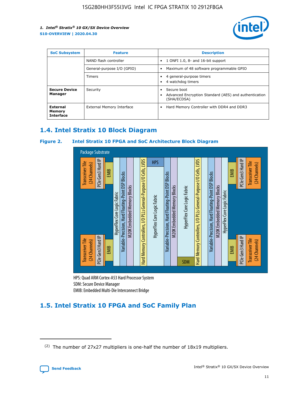

| <b>SoC Subsystem</b>                          | <b>Feature</b>             | <b>Description</b>                                                                                    |  |  |
|-----------------------------------------------|----------------------------|-------------------------------------------------------------------------------------------------------|--|--|
|                                               | NAND flash controller      | 1 ONFI 1.0, 8- and 16-bit support<br>$\bullet$                                                        |  |  |
|                                               | General-purpose I/O (GPIO) | Maximum of 48 software programmable GPIO<br>$\bullet$                                                 |  |  |
|                                               | <b>Timers</b>              | 4 general-purpose timers<br>٠<br>4 watchdog timers<br>٠                                               |  |  |
| <b>Secure Device</b><br>Manager               | Security                   | Secure boot<br>$\bullet$<br>Advanced Encryption Standard (AES) and authentication<br>٠<br>(SHA/ECDSA) |  |  |
| <b>External</b><br>Memory<br><b>Interface</b> | External Memory Interface  | Hard Memory Controller with DDR4 and DDR3<br>$\bullet$                                                |  |  |

# **1.4. Intel Stratix 10 Block Diagram**

#### **Figure 2. Intel Stratix 10 FPGA and SoC Architecture Block Diagram**



HPS: Quad ARM Cortex-A53 Hard Processor System SDM: Secure Device Manager

# **1.5. Intel Stratix 10 FPGA and SoC Family Plan**

<sup>(2)</sup> The number of 27x27 multipliers is one-half the number of 18x19 multipliers.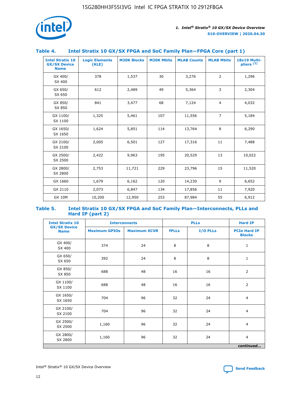

#### **Table 4. Intel Stratix 10 GX/SX FPGA and SoC Family Plan—FPGA Core (part 1)**

| <b>Intel Stratix 10</b><br><b>GX/SX Device</b><br><b>Name</b> | <b>Logic Elements</b><br>(KLE) | <b>M20K Blocks</b> | <b>M20K Mbits</b> | <b>MLAB Counts</b> | <b>MLAB Mbits</b> | 18x19 Multi-<br>pliers <sup>(2)</sup> |
|---------------------------------------------------------------|--------------------------------|--------------------|-------------------|--------------------|-------------------|---------------------------------------|
| GX 400/<br>SX 400                                             | 378                            | 1,537              | 30                | 3,276              | $\overline{2}$    | 1,296                                 |
| GX 650/<br>SX 650                                             | 612                            | 2,489              | 49                | 5,364              | 3                 | 2,304                                 |
| GX 850/<br>SX 850                                             | 841                            | 3,477              | 68                | 7,124              | $\overline{4}$    | 4,032                                 |
| GX 1100/<br>SX 1100                                           | 1,325                          | 5,461              | 107               | 11,556             | $\overline{7}$    | 5,184                                 |
| GX 1650/<br>SX 1650                                           | 1,624                          | 5,851              | 114               | 13,764             | 8                 | 6,290                                 |
| GX 2100/<br>SX 2100                                           | 2,005                          | 6,501              | 127               | 17,316             | 11                | 7,488                                 |
| GX 2500/<br>SX 2500                                           | 2,422                          | 9,963              | 195               | 20,529             | 13                | 10,022                                |
| GX 2800/<br>SX 2800                                           | 2,753                          | 11,721             | 229               | 23,796             | 15                | 11,520                                |
| GX 1660                                                       | 1,679                          | 6,162              | 120               | 14,230             | 9                 | 6,652                                 |
| GX 2110                                                       | 2,073                          | 6,847              | 134               | 17,856             | 11                | 7,920                                 |
| <b>GX 10M</b>                                                 | 10,200                         | 12,950             | 253               | 87,984             | 55                | 6,912                                 |

#### **Table 5. Intel Stratix 10 GX/SX FPGA and SoC Family Plan—Interconnects, PLLs and Hard IP (part 2)**

| <b>Intel Stratix 10</b>            | <b>Interconnects</b> |                     |              | <b>PLLs</b> | <b>Hard IP</b>                       |  |
|------------------------------------|----------------------|---------------------|--------------|-------------|--------------------------------------|--|
| <b>GX/SX Device</b><br><b>Name</b> | <b>Maximum GPIOs</b> | <b>Maximum XCVR</b> | <b>fPLLs</b> | I/O PLLs    | <b>PCIe Hard IP</b><br><b>Blocks</b> |  |
| GX 400/<br>SX 400                  | 374                  | 24                  | 8            | 8           | $\mathbf{1}$                         |  |
| GX 650/<br>SX 650                  | 392                  | 24                  | 8            | 8           | $\mathbf{1}$                         |  |
| GX 850/<br>SX 850                  | 688                  | 48                  | 16           | 16          | 2                                    |  |
| GX 1100/<br>SX 1100                | 688                  | 48                  | 16           | 16          | 2                                    |  |
| GX 1650/<br>SX 1650                | 704                  | 96                  | 32           | 24          | $\overline{4}$                       |  |
| GX 2100/<br>SX 2100                | 704                  | 96                  | 32           | 24          | $\overline{4}$                       |  |
| GX 2500/<br>SX 2500                | 1,160                | 96                  | 32           | 24          | $\overline{4}$                       |  |
| GX 2800/<br>SX 2800                | 1,160                | 96                  | 32           | 24          | $\overline{4}$                       |  |
| continued                          |                      |                     |              |             |                                      |  |

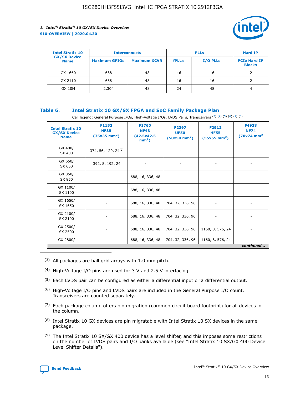

| <b>Intel Stratix 10</b>            | <b>Interconnects</b> |                     |              | <b>Hard IP</b>  |                                      |
|------------------------------------|----------------------|---------------------|--------------|-----------------|--------------------------------------|
| <b>GX/SX Device</b><br><b>Name</b> | <b>Maximum GPIOs</b> | <b>Maximum XCVR</b> | <b>fPLLs</b> | <b>I/O PLLs</b> | <b>PCIe Hard IP</b><br><b>Blocks</b> |
| GX 1660                            | 688                  | 48                  | 16           | 16              |                                      |
| GX 2110                            | 688                  | 48                  | 16           | 16              |                                      |
| <b>GX 10M</b>                      | 2,304                | 48                  | 24           | 48              | 4                                    |

#### **Table 6. Intel Stratix 10 GX/SX FPGA and SoC Family Package Plan**

Cell legend: General Purpose I/Os, High-Voltage I/Os, LVDS Pairs, Transceivers (3) (4) (5) (6) (7) (8)

| <b>Intel Stratix 10</b><br><b>GX/SX Device</b><br><b>Name</b> | F1152<br><b>HF35</b><br>$(35x35 \text{ mm}^2)$ | F1760<br><b>NF43</b><br>(42.5x42.5<br>$mm2$ ) | F2397<br><b>UF50</b><br>$(50x50 \text{ mm}^2)$ | F2912<br><b>HF55</b><br>$(55x55$ mm <sup>2</sup> ) | F4938<br><b>NF74</b><br>$(70x74)$ mm <sup>2</sup> |
|---------------------------------------------------------------|------------------------------------------------|-----------------------------------------------|------------------------------------------------|----------------------------------------------------|---------------------------------------------------|
| GX 400/<br>SX 400                                             | 374, 56, 120, 24 <sup>(9)</sup>                | $\overline{\phantom{a}}$                      | $\overline{\phantom{a}}$                       | ۰                                                  |                                                   |
| GX 650/<br>SX 650                                             | 392, 8, 192, 24                                | $\overline{\phantom{a}}$                      | $\overline{\phantom{a}}$                       |                                                    |                                                   |
| GX 850/<br>SX 850                                             | ۰.                                             | 688, 16, 336, 48                              |                                                |                                                    |                                                   |
| GX 1100/<br>SX 1100                                           |                                                | 688, 16, 336, 48                              |                                                |                                                    |                                                   |
| GX 1650/<br>SX 1650                                           |                                                | 688, 16, 336, 48                              | 704, 32, 336, 96                               |                                                    |                                                   |
| GX 2100/<br>SX 2100                                           | -                                              | 688, 16, 336, 48                              | 704, 32, 336, 96                               | $\overline{\phantom{a}}$                           |                                                   |
| GX 2500/<br>SX 2500                                           |                                                | 688, 16, 336, 48                              | 704, 32, 336, 96                               | 1160, 8, 576, 24                                   |                                                   |
| GX 2800/                                                      | -                                              | 688, 16, 336, 48                              | 704, 32, 336, 96                               | 1160, 8, 576, 24                                   | $\overline{\phantom{a}}$<br>continued             |

- (3) All packages are ball grid arrays with 1.0 mm pitch.
- (4) High-Voltage I/O pins are used for 3 V and 2.5 V interfacing.
- $(5)$  Each LVDS pair can be configured as either a differential input or a differential output.
- (6) High-Voltage I/O pins and LVDS pairs are included in the General Purpose I/O count. Transceivers are counted separately.
- $(7)$  Each package column offers pin migration (common circuit board footprint) for all devices in the column.
- $(8)$  Intel Stratix 10 GX devices are pin migratable with Intel Stratix 10 SX devices in the same package.
- $(9)$  The Intel Stratix 10 SX/GX 400 device has a level shifter, and this imposes some restrictions on the number of LVDS pairs and I/O banks available (see "Intel Stratix 10 SX/GX 400 Device Level Shifter Details").

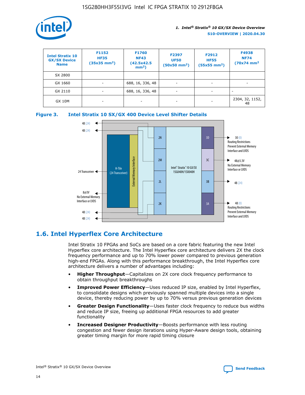

| <b>Intel Stratix 10</b><br><b>GX/SX Device</b><br><b>Name</b> | F1152<br><b>HF35</b><br>$(35x35)$ mm <sup>2</sup> ) | <b>F1760</b><br><b>NF43</b><br>(42.5x42.5<br>$mm2$ ) | F2397<br><b>UF50</b><br>$(50x50 \text{ mm}^2)$ | F2912<br><b>HF55</b><br>$(55x55$ mm <sup>2</sup> ) | F4938<br><b>NF74</b><br>$(70x74)$ mm <sup>2</sup> |
|---------------------------------------------------------------|-----------------------------------------------------|------------------------------------------------------|------------------------------------------------|----------------------------------------------------|---------------------------------------------------|
| SX 2800                                                       |                                                     |                                                      |                                                |                                                    |                                                   |
| GX 1660                                                       | -                                                   | 688, 16, 336, 48                                     | $\overline{\phantom{a}}$                       |                                                    |                                                   |
| GX 2110                                                       |                                                     | 688, 16, 336, 48                                     | $\overline{\phantom{a}}$                       |                                                    |                                                   |
| <b>GX 10M</b>                                                 | ۰                                                   |                                                      |                                                |                                                    | 2304, 32, 1152,<br>48                             |





# **1.6. Intel Hyperflex Core Architecture**

Intel Stratix 10 FPGAs and SoCs are based on a core fabric featuring the new Intel Hyperflex core architecture. The Intel Hyperflex core architecture delivers 2X the clock frequency performance and up to 70% lower power compared to previous generation high-end FPGAs. Along with this performance breakthrough, the Intel Hyperflex core architecture delivers a number of advantages including:

- **Higher Throughput**—Capitalizes on 2X core clock frequency performance to obtain throughput breakthroughs
- **Improved Power Efficiency**—Uses reduced IP size, enabled by Intel Hyperflex, to consolidate designs which previously spanned multiple devices into a single device, thereby reducing power by up to 70% versus previous generation devices
- **Greater Design Functionality**—Uses faster clock frequency to reduce bus widths and reduce IP size, freeing up additional FPGA resources to add greater functionality
- **Increased Designer Productivity**—Boosts performance with less routing congestion and fewer design iterations using Hyper-Aware design tools, obtaining greater timing margin for more rapid timing closure

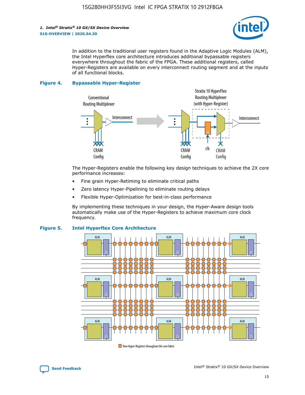

In addition to the traditional user registers found in the Adaptive Logic Modules (ALM), the Intel Hyperflex core architecture introduces additional bypassable registers everywhere throughout the fabric of the FPGA. These additional registers, called Hyper-Registers are available on every interconnect routing segment and at the inputs of all functional blocks.

#### **Figure 4. Bypassable Hyper-Register**



The Hyper-Registers enable the following key design techniques to achieve the 2X core performance increases:

- Fine grain Hyper-Retiming to eliminate critical paths
- Zero latency Hyper-Pipelining to eliminate routing delays
- Flexible Hyper-Optimization for best-in-class performance

By implementing these techniques in your design, the Hyper-Aware design tools automatically make use of the Hyper-Registers to achieve maximum core clock frequency.



#### **Figure 5. Intel Hyperflex Core Architecture**

New Hyper-Registers throughout the core fabric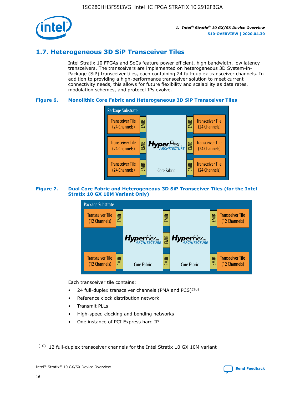

# **1.7. Heterogeneous 3D SiP Transceiver Tiles**

Intel Stratix 10 FPGAs and SoCs feature power efficient, high bandwidth, low latency transceivers. The transceivers are implemented on heterogeneous 3D System-in-Package (SiP) transceiver tiles, each containing 24 full-duplex transceiver channels. In addition to providing a high-performance transceiver solution to meet current connectivity needs, this allows for future flexibility and scalability as data rates, modulation schemes, and protocol IPs evolve.

#### **Figure 6. Monolithic Core Fabric and Heterogeneous 3D SiP Transceiver Tiles**



#### **Figure 7. Dual Core Fabric and Heterogeneous 3D SiP Transceiver Tiles (for the Intel Stratix 10 GX 10M Variant Only)**



Each transceiver tile contains:

- 24 full-duplex transceiver channels (PMA and PCS) $(10)$
- Reference clock distribution network
- Transmit PLLs
- High-speed clocking and bonding networks
- One instance of PCI Express hard IP

16

 $(10)$  12 full-duplex transceiver channels for the Intel Stratix 10 GX 10M variant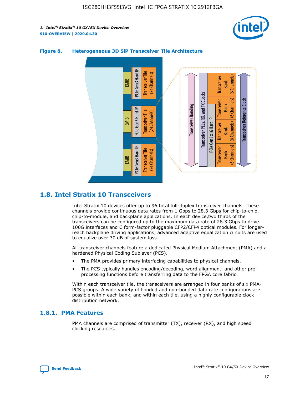



#### **Figure 8. Heterogeneous 3D SiP Transceiver Tile Architecture**

# **1.8. Intel Stratix 10 Transceivers**

Intel Stratix 10 devices offer up to 96 total full-duplex transceiver channels. These channels provide continuous data rates from 1 Gbps to 28.3 Gbps for chip-to-chip, chip-to-module, and backplane applications. In each device,two thirds of the transceivers can be configured up to the maximum data rate of 28.3 Gbps to drive 100G interfaces and C form-factor pluggable CFP2/CFP4 optical modules. For longerreach backplane driving applications, advanced adaptive equalization circuits are used to equalize over 30 dB of system loss.

All transceiver channels feature a dedicated Physical Medium Attachment (PMA) and a hardened Physical Coding Sublayer (PCS).

- The PMA provides primary interfacing capabilities to physical channels.
- The PCS typically handles encoding/decoding, word alignment, and other preprocessing functions before transferring data to the FPGA core fabric.

Within each transceiver tile, the transceivers are arranged in four banks of six PMA-PCS groups. A wide variety of bonded and non-bonded data rate configurations are possible within each bank, and within each tile, using a highly configurable clock distribution network.

#### **1.8.1. PMA Features**

PMA channels are comprised of transmitter (TX), receiver (RX), and high speed clocking resources.

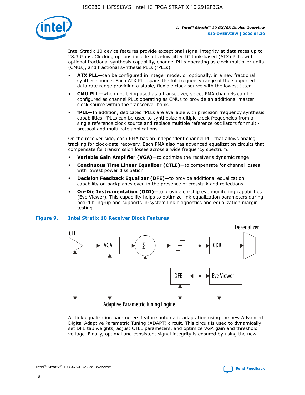

Intel Stratix 10 device features provide exceptional signal integrity at data rates up to 28.3 Gbps. Clocking options include ultra-low jitter LC tank-based (ATX) PLLs with optional fractional synthesis capability, channel PLLs operating as clock multiplier units (CMUs), and fractional synthesis PLLs (fPLLs).

- **ATX PLL**—can be configured in integer mode, or optionally, in a new fractional synthesis mode. Each ATX PLL spans the full frequency range of the supported data rate range providing a stable, flexible clock source with the lowest jitter.
- **CMU PLL**—when not being used as a transceiver, select PMA channels can be configured as channel PLLs operating as CMUs to provide an additional master clock source within the transceiver bank.
- **fPLL**—In addition, dedicated fPLLs are available with precision frequency synthesis capabilities. fPLLs can be used to synthesize multiple clock frequencies from a single reference clock source and replace multiple reference oscillators for multiprotocol and multi-rate applications.

On the receiver side, each PMA has an independent channel PLL that allows analog tracking for clock-data recovery. Each PMA also has advanced equalization circuits that compensate for transmission losses across a wide frequency spectrum.

- **Variable Gain Amplifier (VGA)**—to optimize the receiver's dynamic range
- **Continuous Time Linear Equalizer (CTLE)**—to compensate for channel losses with lowest power dissipation
- **Decision Feedback Equalizer (DFE)**—to provide additional equalization capability on backplanes even in the presence of crosstalk and reflections
- **On-Die Instrumentation (ODI)**—to provide on-chip eye monitoring capabilities (Eye Viewer). This capability helps to optimize link equalization parameters during board bring-up and supports in-system link diagnostics and equalization margin testing

#### **Figure 9. Intel Stratix 10 Receiver Block Features**



All link equalization parameters feature automatic adaptation using the new Advanced Digital Adaptive Parametric Tuning (ADAPT) circuit. This circuit is used to dynamically set DFE tap weights, adjust CTLE parameters, and optimize VGA gain and threshold voltage. Finally, optimal and consistent signal integrity is ensured by using the new



Intel<sup>®</sup> Stratix<sup>®</sup> 10 GX/SX Device Overview **[Send Feedback](mailto:FPGAtechdocfeedback@intel.com?subject=Feedback%20on%20Intel%20Stratix%2010%20GX/SX%20Device%20Overview%20(S10-OVERVIEW%202020.04.30)&body=We%20appreciate%20your%20feedback.%20In%20your%20comments,%20also%20specify%20the%20page%20number%20or%20paragraph.%20Thank%20you.)** Send Feedback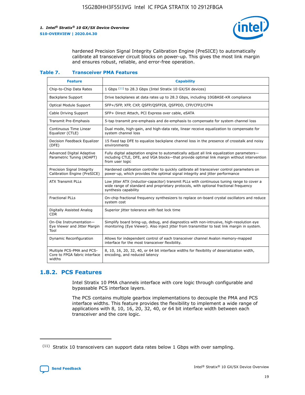

hardened Precision Signal Integrity Calibration Engine (PreSICE) to automatically calibrate all transceiver circuit blocks on power-up. This gives the most link margin and ensures robust, reliable, and error-free operation.

#### **Table 7. Transceiver PMA Features**

| <b>Feature</b>                                                       | <b>Capability</b>                                                                                                                                                                                         |
|----------------------------------------------------------------------|-----------------------------------------------------------------------------------------------------------------------------------------------------------------------------------------------------------|
| Chip-to-Chip Data Rates                                              | 1 Gbps (11) to 28.3 Gbps (Intel Stratix 10 GX/SX devices)                                                                                                                                                 |
| <b>Backplane Support</b>                                             | Drive backplanes at data rates up to 28.3 Gbps, including 10GBASE-KR compliance                                                                                                                           |
| Optical Module Support                                               | SFP+/SFP, XFP, CXP, QSFP/QSFP28, QSFPDD, CFP/CFP2/CFP4                                                                                                                                                    |
| Cable Driving Support                                                | SFP+ Direct Attach, PCI Express over cable, eSATA                                                                                                                                                         |
| <b>Transmit Pre-Emphasis</b>                                         | 5-tap transmit pre-emphasis and de-emphasis to compensate for system channel loss                                                                                                                         |
| Continuous Time Linear<br>Equalizer (CTLE)                           | Dual mode, high-gain, and high-data rate, linear receive equalization to compensate for<br>system channel loss                                                                                            |
| Decision Feedback Equalizer<br>(DFE)                                 | 15 fixed tap DFE to equalize backplane channel loss in the presence of crosstalk and noisy<br>environments                                                                                                |
| Advanced Digital Adaptive<br>Parametric Tuning (ADAPT)               | Fully digital adaptation engine to automatically adjust all link equalization parameters-<br>including CTLE, DFE, and VGA blocks-that provide optimal link margin without intervention<br>from user logic |
| Precision Signal Integrity<br>Calibration Engine (PreSICE)           | Hardened calibration controller to quickly calibrate all transceiver control parameters on<br>power-up, which provides the optimal signal integrity and jitter performance                                |
| <b>ATX Transmit PLLs</b>                                             | Low jitter ATX (inductor-capacitor) transmit PLLs with continuous tuning range to cover a<br>wide range of standard and proprietary protocols, with optional fractional frequency<br>synthesis capability |
| <b>Fractional PLLs</b>                                               | On-chip fractional frequency synthesizers to replace on-board crystal oscillators and reduce<br>system cost                                                                                               |
| Digitally Assisted Analog<br>CDR.                                    | Superior jitter tolerance with fast lock time                                                                                                                                                             |
| On-Die Instrumentation-<br>Eye Viewer and Jitter Margin<br>Tool      | Simplify board bring-up, debug, and diagnostics with non-intrusive, high-resolution eye<br>monitoring (Eye Viewer). Also inject jitter from transmitter to test link margin in system.                    |
| Dynamic Reconfiguration                                              | Allows for independent control of each transceiver channel Avalon memory-mapped<br>interface for the most transceiver flexibility.                                                                        |
| Multiple PCS-PMA and PCS-<br>Core to FPGA fabric interface<br>widths | 8, 10, 16, 20, 32, 40, or 64 bit interface widths for flexibility of deserialization width,<br>encoding, and reduced latency                                                                              |

### **1.8.2. PCS Features**

Intel Stratix 10 PMA channels interface with core logic through configurable and bypassable PCS interface layers.

The PCS contains multiple gearbox implementations to decouple the PMA and PCS interface widths. This feature provides the flexibility to implement a wide range of applications with 8, 10, 16, 20, 32, 40, or 64 bit interface width between each transceiver and the core logic.

<sup>(11)</sup> Stratix 10 transceivers can support data rates below 1 Gbps with over sampling.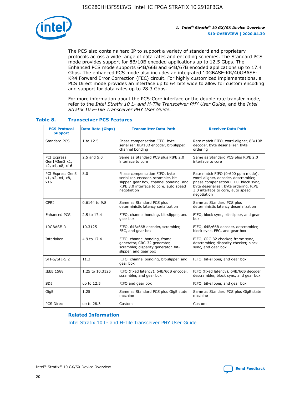

The PCS also contains hard IP to support a variety of standard and proprietary protocols across a wide range of data rates and encoding schemes. The Standard PCS mode provides support for 8B/10B encoded applications up to 12.5 Gbps. The Enhanced PCS mode supports 64B/66B and 64B/67B encoded applications up to 17.4 Gbps. The enhanced PCS mode also includes an integrated 10GBASE-KR/40GBASE-KR4 Forward Error Correction (FEC) circuit. For highly customized implementations, a PCS Direct mode provides an interface up to 64 bits wide to allow for custom encoding and support for data rates up to 28.3 Gbps.

For more information about the PCS-Core interface or the double rate transfer mode, refer to the *Intel Stratix 10 L- and H-Tile Transceiver PHY User Guide*, and the *Intel Stratix 10 E-Tile Transceiver PHY User Guide*.

| <b>PCS Protocol</b><br><b>Support</b>                  | <b>Data Rate (Gbps)</b> | <b>Transmitter Data Path</b>                                                                                                                                              | <b>Receiver Data Path</b>                                                                                                                                                                                      |
|--------------------------------------------------------|-------------------------|---------------------------------------------------------------------------------------------------------------------------------------------------------------------------|----------------------------------------------------------------------------------------------------------------------------------------------------------------------------------------------------------------|
| Standard PCS                                           | 1 to 12.5               | Phase compensation FIFO, byte<br>serializer, 8B/10B encoder, bit-slipper,<br>channel bonding                                                                              | Rate match FIFO, word-aligner, 8B/10B<br>decoder, byte deserializer, byte<br>ordering                                                                                                                          |
| <b>PCI Express</b><br>Gen1/Gen2 x1,<br>x2, x4, x8, x16 | 2.5 and 5.0             | Same as Standard PCS plus PIPE 2.0<br>interface to core                                                                                                                   | Same as Standard PCS plus PIPE 2.0<br>interface to core                                                                                                                                                        |
| PCI Express Gen3<br>x1, x2, x4, x8,<br>x16             | 8.0                     | Phase compensation FIFO, byte<br>serializer, encoder, scrambler, bit-<br>slipper, gear box, channel bonding, and<br>PIPE 3.0 interface to core, auto speed<br>negotiation | Rate match FIFO (0-600 ppm mode),<br>word-aligner, decoder, descrambler,<br>phase compensation FIFO, block sync,<br>byte deserializer, byte ordering, PIPE<br>3.0 interface to core, auto speed<br>negotiation |
| CPRI                                                   | 0.6144 to 9.8           | Same as Standard PCS plus<br>deterministic latency serialization                                                                                                          | Same as Standard PCS plus<br>deterministic latency deserialization                                                                                                                                             |
| <b>Enhanced PCS</b>                                    | 2.5 to 17.4             | FIFO, channel bonding, bit-slipper, and<br>gear box                                                                                                                       | FIFO, block sync, bit-slipper, and gear<br>box                                                                                                                                                                 |
| 10GBASE-R                                              | 10.3125                 | FIFO, 64B/66B encoder, scrambler,<br>FEC, and gear box                                                                                                                    | FIFO, 64B/66B decoder, descrambler,<br>block sync, FEC, and gear box                                                                                                                                           |
| Interlaken                                             | 4.9 to 17.4             | FIFO, channel bonding, frame<br>generator, CRC-32 generator,<br>scrambler, disparity generator, bit-<br>slipper, and gear box                                             | FIFO, CRC-32 checker, frame sync,<br>descrambler, disparity checker, block<br>sync, and gear box                                                                                                               |
| SFI-S/SFI-5.2                                          | 11.3                    | FIFO, channel bonding, bit-slipper, and<br>gear box                                                                                                                       | FIFO, bit-slipper, and gear box                                                                                                                                                                                |
| <b>IEEE 1588</b>                                       | 1.25 to 10.3125         | FIFO (fixed latency), 64B/66B encoder,<br>scrambler, and gear box                                                                                                         | FIFO (fixed latency), 64B/66B decoder,<br>descrambler, block sync, and gear box                                                                                                                                |
| SDI                                                    | up to 12.5              | FIFO and gear box                                                                                                                                                         | FIFO, bit-slipper, and gear box                                                                                                                                                                                |
| GigE                                                   | 1.25                    | Same as Standard PCS plus GigE state<br>machine                                                                                                                           | Same as Standard PCS plus GigE state<br>machine                                                                                                                                                                |
| <b>PCS Direct</b>                                      | up to 28.3              | Custom                                                                                                                                                                    | Custom                                                                                                                                                                                                         |

#### **Table 8. Transceiver PCS Features**

#### **Related Information**

[Intel Stratix 10 L- and H-Tile Transceiver PHY User Guide](https://www.altera.com/documentation/wry1479165198810.html)

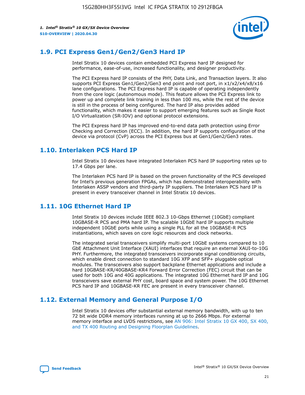

# **1.9. PCI Express Gen1/Gen2/Gen3 Hard IP**

Intel Stratix 10 devices contain embedded PCI Express hard IP designed for performance, ease-of-use, increased functionality, and designer productivity.

The PCI Express hard IP consists of the PHY, Data Link, and Transaction layers. It also supports PCI Express Gen1/Gen2/Gen3 end point and root port, in x1/x2/x4/x8/x16 lane configurations. The PCI Express hard IP is capable of operating independently from the core logic (autonomous mode). This feature allows the PCI Express link to power up and complete link training in less than 100 ms, while the rest of the device is still in the process of being configured. The hard IP also provides added functionality, which makes it easier to support emerging features such as Single Root I/O Virtualization (SR-IOV) and optional protocol extensions.

The PCI Express hard IP has improved end-to-end data path protection using Error Checking and Correction (ECC). In addition, the hard IP supports configuration of the device via protocol (CvP) across the PCI Express bus at Gen1/Gen2/Gen3 rates.

# **1.10. Interlaken PCS Hard IP**

Intel Stratix 10 devices have integrated Interlaken PCS hard IP supporting rates up to 17.4 Gbps per lane.

The Interlaken PCS hard IP is based on the proven functionality of the PCS developed for Intel's previous generation FPGAs, which has demonstrated interoperability with Interlaken ASSP vendors and third-party IP suppliers. The Interlaken PCS hard IP is present in every transceiver channel in Intel Stratix 10 devices.

# **1.11. 10G Ethernet Hard IP**

Intel Stratix 10 devices include IEEE 802.3 10-Gbps Ethernet (10GbE) compliant 10GBASE-R PCS and PMA hard IP. The scalable 10GbE hard IP supports multiple independent 10GbE ports while using a single PLL for all the 10GBASE-R PCS instantiations, which saves on core logic resources and clock networks.

The integrated serial transceivers simplify multi-port 10GbE systems compared to 10 GbE Attachment Unit Interface (XAUI) interfaces that require an external XAUI-to-10G PHY. Furthermore, the integrated transceivers incorporate signal conditioning circuits, which enable direct connection to standard 10G XFP and SFP+ pluggable optical modules. The transceivers also support backplane Ethernet applications and include a hard 10GBASE-KR/40GBASE-KR4 Forward Error Correction (FEC) circuit that can be used for both 10G and 40G applications. The integrated 10G Ethernet hard IP and 10G transceivers save external PHY cost, board space and system power. The 10G Ethernet PCS hard IP and 10GBASE-KR FEC are present in every transceiver channel.

# **1.12. External Memory and General Purpose I/O**

Intel Stratix 10 devices offer substantial external memory bandwidth, with up to ten 72 bit wide DDR4 memory interfaces running at up to 2666 Mbps. For external memory interface and LVDS restrictions, see [AN 906: Intel Stratix 10 GX 400, SX 400,](https://www.intel.com/content/www/us/en/programmable/documentation/sjf1574667190623.html#bft1574667627484) [and TX 400 Routing and Designing Floorplan Guidelines.](https://www.intel.com/content/www/us/en/programmable/documentation/sjf1574667190623.html#bft1574667627484)

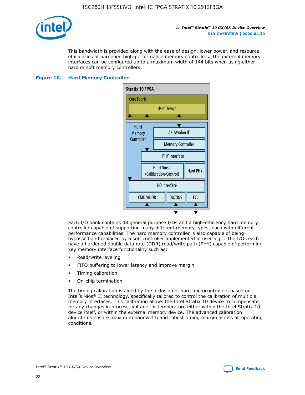

This bandwidth is provided along with the ease of design, lower power, and resource efficiencies of hardened high-performance memory controllers. The external memory interfaces can be configured up to a maximum width of 144 bits when using either hard or soft memory controllers.

#### **Figure 10. Hard Memory Controller**



Each I/O bank contains 48 general purpose I/Os and a high-efficiency hard memory controller capable of supporting many different memory types, each with different performance capabilities. The hard memory controller is also capable of being bypassed and replaced by a soft controller implemented in user logic. The I/Os each have a hardened double data rate (DDR) read/write path (PHY) capable of performing key memory interface functionality such as:

- Read/write leveling
- FIFO buffering to lower latency and improve margin
- Timing calibration
- On-chip termination

The timing calibration is aided by the inclusion of hard microcontrollers based on Intel's Nios® II technology, specifically tailored to control the calibration of multiple memory interfaces. This calibration allows the Intel Stratix 10 device to compensate for any changes in process, voltage, or temperature either within the Intel Stratix 10 device itself, or within the external memory device. The advanced calibration algorithms ensure maximum bandwidth and robust timing margin across all operating conditions.

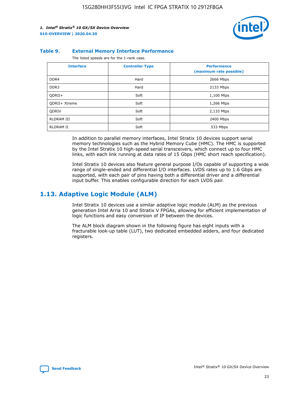

#### **Table 9. External Memory Interface Performance**

The listed speeds are for the 1-rank case.

| <b>Interface</b>     | <b>Controller Type</b> | <b>Performance</b><br>(maximum rate possible) |
|----------------------|------------------------|-----------------------------------------------|
| DDR4                 | Hard                   | 2666 Mbps                                     |
| DDR <sub>3</sub>     | Hard                   | 2133 Mbps                                     |
| QDRII+               | Soft                   | 1,100 Mtps                                    |
| <b>ODRII+ Xtreme</b> | Soft                   | 1,266 Mtps                                    |
| <b>ODRIV</b>         | Soft                   | 2,133 Mtps                                    |
| RLDRAM III           | Soft                   | 2400 Mbps                                     |
| <b>RLDRAM II</b>     | Soft                   | 533 Mbps                                      |

In addition to parallel memory interfaces, Intel Stratix 10 devices support serial memory technologies such as the Hybrid Memory Cube (HMC). The HMC is supported by the Intel Stratix 10 high-speed serial transceivers, which connect up to four HMC links, with each link running at data rates of 15 Gbps (HMC short reach specification).

Intel Stratix 10 devices also feature general purpose I/Os capable of supporting a wide range of single-ended and differential I/O interfaces. LVDS rates up to 1.6 Gbps are supported, with each pair of pins having both a differential driver and a differential input buffer. This enables configurable direction for each LVDS pair.

### **1.13. Adaptive Logic Module (ALM)**

Intel Stratix 10 devices use a similar adaptive logic module (ALM) as the previous generation Intel Arria 10 and Stratix V FPGAs, allowing for efficient implementation of logic functions and easy conversion of IP between the devices.

The ALM block diagram shown in the following figure has eight inputs with a fracturable look-up table (LUT), two dedicated embedded adders, and four dedicated registers.

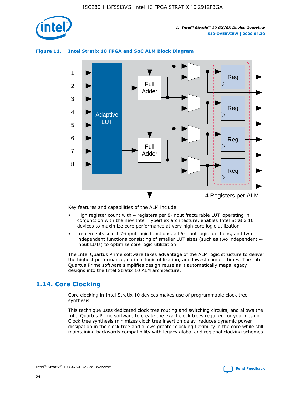

# 1 2 3 4 Full Adder Adaptive

#### **Figure 11. Intel Stratix 10 FPGA and SoC ALM Block Diagram**



Key features and capabilities of the ALM include:

- High register count with 4 registers per 8-input fracturable LUT, operating in conjunction with the new Intel Hyperflex architecture, enables Intel Stratix 10 devices to maximize core performance at very high core logic utilization
- Implements select 7-input logic functions, all 6-input logic functions, and two independent functions consisting of smaller LUT sizes (such as two independent 4 input LUTs) to optimize core logic utilization

The Intel Quartus Prime software takes advantage of the ALM logic structure to deliver the highest performance, optimal logic utilization, and lowest compile times. The Intel Quartus Prime software simplifies design reuse as it automatically maps legacy designs into the Intel Stratix 10 ALM architecture.

# **1.14. Core Clocking**

Core clocking in Intel Stratix 10 devices makes use of programmable clock tree synthesis.

This technique uses dedicated clock tree routing and switching circuits, and allows the Intel Quartus Prime software to create the exact clock trees required for your design. Clock tree synthesis minimizes clock tree insertion delay, reduces dynamic power dissipation in the clock tree and allows greater clocking flexibility in the core while still maintaining backwards compatibility with legacy global and regional clocking schemes.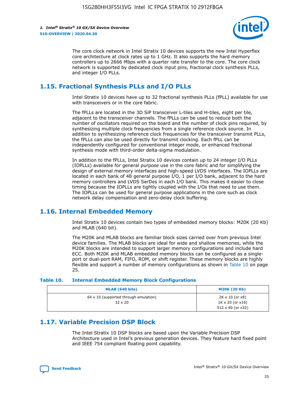

The core clock network in Intel Stratix 10 devices supports the new Intel Hyperflex core architecture at clock rates up to 1 GHz. It also supports the hard memory controllers up to 2666 Mbps with a quarter rate transfer to the core. The core clock network is supported by dedicated clock input pins, fractional clock synthesis PLLs, and integer I/O PLLs.

# **1.15. Fractional Synthesis PLLs and I/O PLLs**

Intel Stratix 10 devices have up to 32 fractional synthesis PLLs (fPLL) available for use with transceivers or in the core fabric.

The fPLLs are located in the 3D SiP transceiver L-tiles and H-tiles, eight per tile, adjacent to the transceiver channels. The fPLLs can be used to reduce both the number of oscillators required on the board and the number of clock pins required, by synthesizing multiple clock frequencies from a single reference clock source. In addition to synthesizing reference clock frequencies for the transceiver transmit PLLs, the fPLLs can also be used directly for transmit clocking. Each fPLL can be independently configured for conventional integer mode, or enhanced fractional synthesis mode with third-order delta-sigma modulation.

In addition to the fPLLs, Intel Stratix 10 devices contain up to 24 integer I/O PLLs (IOPLLs) available for general purpose use in the core fabric and for simplifying the design of external memory interfaces and high-speed LVDS interfaces. The IOPLLs are located in each bank of 48 general purpose I/O, 1 per I/O bank, adjacent to the hard memory controllers and LVDS SerDes in each I/O bank. This makes it easier to close timing because the IOPLLs are tightly coupled with the I/Os that need to use them. The IOPLLs can be used for general purpose applications in the core such as clock network delay compensation and zero-delay clock buffering.

# **1.16. Internal Embedded Memory**

Intel Stratix 10 devices contain two types of embedded memory blocks: M20K (20 Kb) and MLAB (640 bit).

The M20K and MLAB blocks are familiar block sizes carried over from previous Intel device families. The MLAB blocks are ideal for wide and shallow memories, while the M20K blocks are intended to support larger memory configurations and include hard ECC. Both M20K and MLAB embedded memory blocks can be configured as a singleport or dual-port RAM, FIFO, ROM, or shift register. These memory blocks are highly flexible and support a number of memory configurations as shown in Table 10 on page 25.

#### **Table 10. Internal Embedded Memory Block Configurations**

| MLAB (640 bits)                                                | <b>M20K (20 Kb)</b>                                                          |
|----------------------------------------------------------------|------------------------------------------------------------------------------|
| $64 \times 10$ (supported through emulation)<br>$32 \times 20$ | 2K x 10 (or x8)<br>$1K \times 20$ (or $x16$ )<br>$512 \times 40$ (or $x32$ ) |

# **1.17. Variable Precision DSP Block**

The Intel Stratix 10 DSP blocks are based upon the Variable Precision DSP Architecture used in Intel's previous generation devices. They feature hard fixed point and IEEE 754 compliant floating point capability.

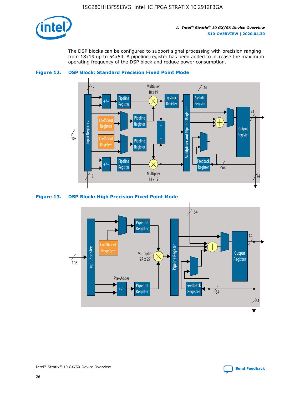

The DSP blocks can be configured to support signal processing with precision ranging from 18x19 up to 54x54. A pipeline register has been added to increase the maximum operating frequency of the DSP block and reduce power consumption.





#### **Figure 13. DSP Block: High Precision Fixed Point Mode**

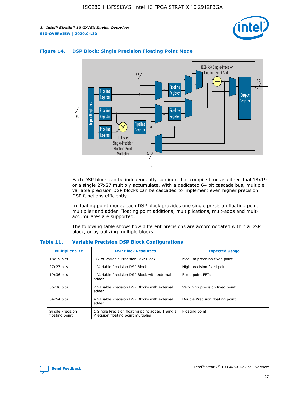



#### **Figure 14. DSP Block: Single Precision Floating Point Mode**

Each DSP block can be independently configured at compile time as either dual 18x19 or a single 27x27 multiply accumulate. With a dedicated 64 bit cascade bus, multiple variable precision DSP blocks can be cascaded to implement even higher precision DSP functions efficiently.

In floating point mode, each DSP block provides one single precision floating point multiplier and adder. Floating point additions, multiplications, mult-adds and multaccumulates are supported.

The following table shows how different precisions are accommodated within a DSP block, or by utilizing multiple blocks.

| <b>Multiplier Size</b>             | <b>DSP Block Resources</b>                                                               | <b>Expected Usage</b>           |
|------------------------------------|------------------------------------------------------------------------------------------|---------------------------------|
| $18x19$ bits                       | 1/2 of Variable Precision DSP Block                                                      | Medium precision fixed point    |
| 27x27 bits                         | 1 Variable Precision DSP Block                                                           | High precision fixed point      |
| $19x36$ bits                       | 1 Variable Precision DSP Block with external<br>adder                                    | Fixed point FFTs                |
| 36x36 bits                         | 2 Variable Precision DSP Blocks with external<br>adder                                   | Very high precision fixed point |
| 54x54 bits                         | 4 Variable Precision DSP Blocks with external<br>adder                                   | Double Precision floating point |
| Single Precision<br>floating point | 1 Single Precision floating point adder, 1 Single<br>Precision floating point multiplier | Floating point                  |

#### **Table 11. Variable Precision DSP Block Configurations**

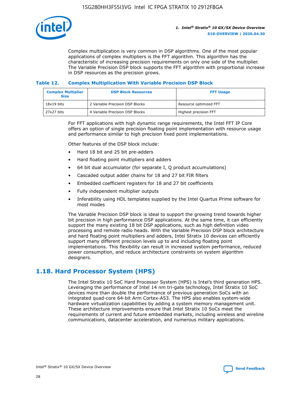

Complex multiplication is very common in DSP algorithms. One of the most popular applications of complex multipliers is the FFT algorithm. This algorithm has the characteristic of increasing precision requirements on only one side of the multiplier. The Variable Precision DSP block supports the FFT algorithm with proportional increase in DSP resources as the precision grows.

#### **Table 12. Complex Multiplication With Variable Precision DSP Block**

| <b>Complex Multiplier</b><br><b>Size</b> | <b>DSP Block Resources</b>      | <b>FFT Usage</b>       |
|------------------------------------------|---------------------------------|------------------------|
| $18x19$ bits                             | 2 Variable Precision DSP Blocks | Resource optimized FFT |
| 27x27 bits                               | 4 Variable Precision DSP Blocks | Highest precision FFT  |

For FFT applications with high dynamic range requirements, the Intel FFT IP Core offers an option of single precision floating point implementation with resource usage and performance similar to high precision fixed point implementations.

Other features of the DSP block include:

- Hard 18 bit and 25 bit pre-adders
- Hard floating point multipliers and adders
- 64 bit dual accumulator (for separate I, Q product accumulations)
- Cascaded output adder chains for 18 and 27 bit FIR filters
- Embedded coefficient registers for 18 and 27 bit coefficients
- Fully independent multiplier outputs
- Inferability using HDL templates supplied by the Intel Quartus Prime software for most modes

The Variable Precision DSP block is ideal to support the growing trend towards higher bit precision in high performance DSP applications. At the same time, it can efficiently support the many existing 18 bit DSP applications, such as high definition video processing and remote radio heads. With the Variable Precision DSP block architecture and hard floating point multipliers and adders, Intel Stratix 10 devices can efficiently support many different precision levels up to and including floating point implementations. This flexibility can result in increased system performance, reduced power consumption, and reduce architecture constraints on system algorithm designers.

# **1.18. Hard Processor System (HPS)**

The Intel Stratix 10 SoC Hard Processor System (HPS) is Intel's third generation HPS. Leveraging the performance of Intel 14 nm tri-gate technology, Intel Stratix 10 SoC devices more than double the performance of previous generation SoCs with an integrated quad-core 64-bit Arm Cortex-A53. The HPS also enables system-wide hardware virtualization capabilities by adding a system memory management unit. These architecture improvements ensure that Intel Stratix 10 SoCs meet the requirements of current and future embedded markets, including wireless and wireline communications, datacenter acceleration, and numerous military applications.

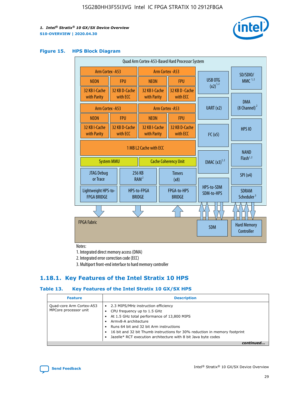

#### **Figure 15. HPS Block Diagram**

| Quad Arm Cortex-A53-Based Hard Processor System |  |                              |                                                           |                              |                             |                          |                                        |
|-------------------------------------------------|--|------------------------------|-----------------------------------------------------------|------------------------------|-----------------------------|--------------------------|----------------------------------------|
| Arm Cortex - A53                                |  |                              | Arm Cortex - A53                                          |                              |                             | SD/SDIO/                 |                                        |
| <b>NEON</b>                                     |  | <b>FPU</b>                   | <b>NEON</b>                                               |                              | <b>FPU</b>                  | USB OTG                  | MMC $1,2$                              |
| 32 KB I-Cache<br>with Parity                    |  | 32 KB D-Cache<br>with ECC    | 32 KB I-Cache<br>with Parity                              |                              | 32 KB D - Cache<br>with ECC | $(x2)^{1,2}$             |                                        |
|                                                 |  |                              |                                                           |                              |                             |                          | <b>DMA</b>                             |
| Arm Cortex - A53                                |  |                              |                                                           |                              | <b>Arm Cortex - A53</b>     | UART (x2)                | $(8$ Channel) $^2$                     |
| <b>NEON</b>                                     |  | <b>FPU</b>                   | <b>NFON</b>                                               |                              | <b>FPU</b>                  |                          |                                        |
| 32 KB I-Cache<br>with Parity                    |  | 32 KB D-Cache<br>with ECC    | 32 KB I-Cache<br>32 KB D-Cache<br>with ECC<br>with Parity |                              | I <sup>2</sup> C(x5)        | <b>HPS 10</b>            |                                        |
| <b>System MMU</b>                               |  |                              | 1 MB L2 Cache with ECC<br><b>Cache Coherency Unit</b>     |                              |                             | <b>EMAC</b> $(x3)^{1,2}$ | <b>NAND</b><br>Flash <sup>1,2</sup>    |
| <b>JTAG Debug</b><br>or Trace                   |  | 256 KB                       | <b>Timers</b><br>RAM <sup>2</sup><br>(x8)                 |                              |                             | SPI(x4)                  |                                        |
| Lightweight HPS-to-<br><b>FPGA BRIDGE</b>       |  | HPS-to-FPGA<br><b>BRIDGE</b> |                                                           | FPGA-to-HPS<br><b>BRIDGE</b> |                             | HPS-to-SDM<br>SDM-to-HPS | <b>SDRAM</b><br>Scheduler <sup>3</sup> |
|                                                 |  |                              |                                                           |                              |                             |                          |                                        |
| <b>FPGA Fabric</b>                              |  |                              |                                                           |                              |                             | <b>SDM</b>               | <b>Hard Memory</b><br>Controller       |

Notes:

1. Integrated direct memory access (DMA)

2. Integrated error correction code (ECC)

3. Multiport front-end interface to hard memory controller

### **1.18.1. Key Features of the Intel Stratix 10 HPS**

#### **Table 13. Key Features of the Intel Stratix 10 GX/SX HPS**

| <b>Feature</b>                                    | <b>Description</b>                                                                                                                                                                                                                                                                                                                     |
|---------------------------------------------------|----------------------------------------------------------------------------------------------------------------------------------------------------------------------------------------------------------------------------------------------------------------------------------------------------------------------------------------|
| Quad-core Arm Cortex-A53<br>MPCore processor unit | • 2.3 MIPS/MHz instruction efficiency<br>CPU frequency up to 1.5 GHz<br>At 1.5 GHz total performance of 13,800 MIPS<br>Army8-A architecture<br>Runs 64 bit and 32 bit Arm instructions<br>16 bit and 32 bit Thumb instructions for 30% reduction in memory footprint<br>Jazelle* RCT execution architecture with 8 bit Java byte codes |
|                                                   |                                                                                                                                                                                                                                                                                                                                        |

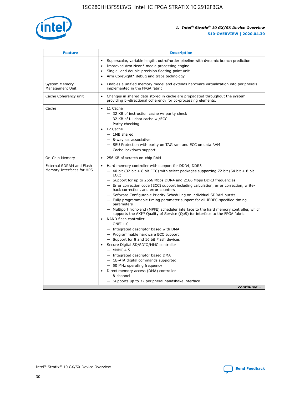

| <b>Feature</b>                                        | <b>Description</b>                                                                                                                                                                                                                                                                                                                                                                                                                                                                                                                                                                                                                                                                                                                                                                                                                                                                                                                                                                                                                                                                                                                                                                                                       |  |  |
|-------------------------------------------------------|--------------------------------------------------------------------------------------------------------------------------------------------------------------------------------------------------------------------------------------------------------------------------------------------------------------------------------------------------------------------------------------------------------------------------------------------------------------------------------------------------------------------------------------------------------------------------------------------------------------------------------------------------------------------------------------------------------------------------------------------------------------------------------------------------------------------------------------------------------------------------------------------------------------------------------------------------------------------------------------------------------------------------------------------------------------------------------------------------------------------------------------------------------------------------------------------------------------------------|--|--|
|                                                       | Superscalar, variable length, out-of-order pipeline with dynamic branch prediction<br>Improved Arm Neon* media processing engine<br>$\bullet$<br>Single- and double-precision floating-point unit<br>Arm CoreSight* debug and trace technology<br>$\bullet$                                                                                                                                                                                                                                                                                                                                                                                                                                                                                                                                                                                                                                                                                                                                                                                                                                                                                                                                                              |  |  |
| <b>System Memory</b><br>Management Unit               | Enables a unified memory model and extends hardware virtualization into peripherals<br>implemented in the FPGA fabric                                                                                                                                                                                                                                                                                                                                                                                                                                                                                                                                                                                                                                                                                                                                                                                                                                                                                                                                                                                                                                                                                                    |  |  |
| Cache Coherency unit                                  | Changes in shared data stored in cache are propagated throughout the system<br>$\bullet$<br>providing bi-directional coherency for co-processing elements.                                                                                                                                                                                                                                                                                                                                                                                                                                                                                                                                                                                                                                                                                                                                                                                                                                                                                                                                                                                                                                                               |  |  |
| Cache                                                 | L1 Cache<br>$\bullet$<br>- 32 KB of instruction cache w/ parity check<br>- 32 KB of L1 data cache w /ECC<br>- Parity checking<br>L <sub>2</sub> Cache<br>- 1MB shared<br>- 8-way set associative<br>- SEU Protection with parity on TAG ram and ECC on data RAM<br>- Cache lockdown support                                                                                                                                                                                                                                                                                                                                                                                                                                                                                                                                                                                                                                                                                                                                                                                                                                                                                                                              |  |  |
| On-Chip Memory                                        | 256 KB of scratch on-chip RAM                                                                                                                                                                                                                                                                                                                                                                                                                                                                                                                                                                                                                                                                                                                                                                                                                                                                                                                                                                                                                                                                                                                                                                                            |  |  |
| External SDRAM and Flash<br>Memory Interfaces for HPS | Hard memory controller with support for DDR4, DDR3<br>$\bullet$<br>$-$ 40 bit (32 bit + 8 bit ECC) with select packages supporting 72 bit (64 bit + 8 bit<br>ECC)<br>- Support for up to 2666 Mbps DDR4 and 2166 Mbps DDR3 frequencies<br>- Error correction code (ECC) support including calculation, error correction, write-<br>back correction, and error counters<br>- Software Configurable Priority Scheduling on individual SDRAM bursts<br>- Fully programmable timing parameter support for all JEDEC-specified timing<br>parameters<br>- Multiport front-end (MPFE) scheduler interface to the hard memory controller, which<br>supports the $AXI^{\circledR}$ Quality of Service (QoS) for interface to the FPGA fabric<br>NAND flash controller<br>$-$ ONFI 1.0<br>- Integrated descriptor based with DMA<br>- Programmable hardware ECC support<br>- Support for 8 and 16 bit Flash devices<br>Secure Digital SD/SDIO/MMC controller<br>$-$ eMMC 4.5<br>- Integrated descriptor based DMA<br>- CE-ATA digital commands supported<br>- 50 MHz operating frequency<br>Direct memory access (DMA) controller<br>$\bullet$<br>$-$ 8-channel<br>- Supports up to 32 peripheral handshake interface<br>continued |  |  |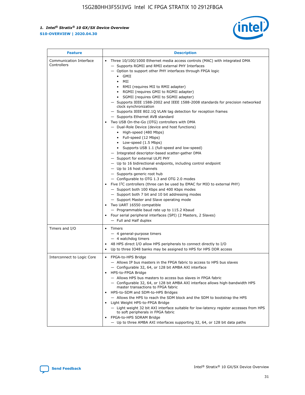

| <b>Feature</b>                         | <b>Description</b>                                                                                                                                                                                                                                                                                                                                                                                                                                                                                                                                                                                                                                                                                                                                                                                                                                                                                                                                                                                                                                                                                                                                                                                                                                                                                                                                                                                                                                                                                                        |
|----------------------------------------|---------------------------------------------------------------------------------------------------------------------------------------------------------------------------------------------------------------------------------------------------------------------------------------------------------------------------------------------------------------------------------------------------------------------------------------------------------------------------------------------------------------------------------------------------------------------------------------------------------------------------------------------------------------------------------------------------------------------------------------------------------------------------------------------------------------------------------------------------------------------------------------------------------------------------------------------------------------------------------------------------------------------------------------------------------------------------------------------------------------------------------------------------------------------------------------------------------------------------------------------------------------------------------------------------------------------------------------------------------------------------------------------------------------------------------------------------------------------------------------------------------------------------|
| Communication Interface<br>Controllers | Three 10/100/1000 Ethernet media access controls (MAC) with integrated DMA<br>$\bullet$<br>- Supports RGMII and RMII external PHY Interfaces<br>- Option to support other PHY interfaces through FPGA logic<br>GMII<br>$\bullet$<br>MII<br>$\bullet$<br>RMII (requires MII to RMII adapter)<br>$\bullet$<br>• RGMII (requires GMII to RGMII adapter)<br>SGMII (requires GMII to SGMII adapter)<br>- Supports IEEE 1588-2002 and IEEE 1588-2008 standards for precision networked<br>clock synchronization<br>- Supports IEEE 802.1Q VLAN tag detection for reception frames<br>- Supports Ethernet AVB standard<br>Two USB On-the-Go (OTG) controllers with DMA<br>- Dual-Role Device (device and host functions)<br>• High-speed (480 Mbps)<br>• Full-speed (12 Mbps)<br>• Low-speed (1.5 Mbps)<br>• Supports USB 1.1 (full-speed and low-speed)<br>- Integrated descriptor-based scatter-gather DMA<br>- Support for external ULPI PHY<br>- Up to 16 bidirectional endpoints, including control endpoint<br>$-$ Up to 16 host channels<br>- Supports generic root hub<br>- Configurable to OTG 1.3 and OTG 2.0 modes<br>Five $I2C$ controllers (three can be used by EMAC for MIO to external PHY)<br>- Support both 100 Kbps and 400 Kbps modes<br>- Support both 7 bit and 10 bit addressing modes<br>- Support Master and Slave operating mode<br>Two UART 16550 compatible<br>- Programmable baud rate up to 115.2 Kbaud<br>Four serial peripheral interfaces (SPI) (2 Masters, 2 Slaves)<br>- Full and Half duplex |
| Timers and I/O                         | • Timers<br>- 4 general-purpose timers<br>$-4$ watchdog timers<br>48 HPS direct I/O allow HPS peripherals to connect directly to I/O<br>Up to three IO48 banks may be assigned to HPS for HPS DDR access                                                                                                                                                                                                                                                                                                                                                                                                                                                                                                                                                                                                                                                                                                                                                                                                                                                                                                                                                                                                                                                                                                                                                                                                                                                                                                                  |
| Interconnect to Logic Core             | • FPGA-to-HPS Bridge<br>- Allows IP bus masters in the FPGA fabric to access to HPS bus slaves<br>- Configurable 32, 64, or 128 bit AMBA AXI interface<br>HPS-to-FPGA Bridge<br>- Allows HPS bus masters to access bus slaves in FPGA fabric<br>- Configurable 32, 64, or 128 bit AMBA AXI interface allows high-bandwidth HPS<br>master transactions to FPGA fabric<br>HPS-to-SDM and SDM-to-HPS Bridges<br>- Allows the HPS to reach the SDM block and the SDM to bootstrap the HPS<br>Light Weight HPS-to-FPGA Bridge<br>- Light weight 32 bit AXI interface suitable for low-latency register accesses from HPS<br>to soft peripherals in FPGA fabric<br>FPGA-to-HPS SDRAM Bridge<br>- Up to three AMBA AXI interfaces supporting 32, 64, or 128 bit data paths                                                                                                                                                                                                                                                                                                                                                                                                                                                                                                                                                                                                                                                                                                                                                       |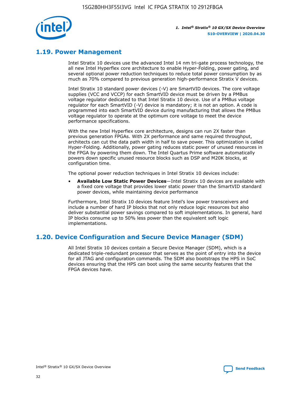

# **1.19. Power Management**

Intel Stratix 10 devices use the advanced Intel 14 nm tri-gate process technology, the all new Intel Hyperflex core architecture to enable Hyper-Folding, power gating, and several optional power reduction techniques to reduce total power consumption by as much as 70% compared to previous generation high-performance Stratix V devices.

Intel Stratix 10 standard power devices (-V) are SmartVID devices. The core voltage supplies (VCC and VCCP) for each SmartVID device must be driven by a PMBus voltage regulator dedicated to that Intel Stratix 10 device. Use of a PMBus voltage regulator for each SmartVID (-V) device is mandatory; it is not an option. A code is programmed into each SmartVID device during manufacturing that allows the PMBus voltage regulator to operate at the optimum core voltage to meet the device performance specifications.

With the new Intel Hyperflex core architecture, designs can run 2X faster than previous generation FPGAs. With 2X performance and same required throughput, architects can cut the data path width in half to save power. This optimization is called Hyper-Folding. Additionally, power gating reduces static power of unused resources in the FPGA by powering them down. The Intel Quartus Prime software automatically powers down specific unused resource blocks such as DSP and M20K blocks, at configuration time.

The optional power reduction techniques in Intel Stratix 10 devices include:

• **Available Low Static Power Devices**—Intel Stratix 10 devices are available with a fixed core voltage that provides lower static power than the SmartVID standard power devices, while maintaining device performance

Furthermore, Intel Stratix 10 devices feature Intel's low power transceivers and include a number of hard IP blocks that not only reduce logic resources but also deliver substantial power savings compared to soft implementations. In general, hard IP blocks consume up to 50% less power than the equivalent soft logic implementations.

# **1.20. Device Configuration and Secure Device Manager (SDM)**

All Intel Stratix 10 devices contain a Secure Device Manager (SDM), which is a dedicated triple-redundant processor that serves as the point of entry into the device for all JTAG and configuration commands. The SDM also bootstraps the HPS in SoC devices ensuring that the HPS can boot using the same security features that the FPGA devices have.

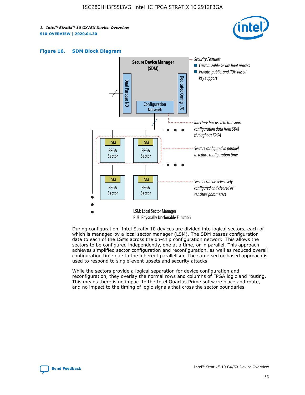





During configuration, Intel Stratix 10 devices are divided into logical sectors, each of which is managed by a local sector manager (LSM). The SDM passes configuration data to each of the LSMs across the on-chip configuration network. This allows the sectors to be configured independently, one at a time, or in parallel. This approach achieves simplified sector configuration and reconfiguration, as well as reduced overall configuration time due to the inherent parallelism. The same sector-based approach is used to respond to single-event upsets and security attacks.

While the sectors provide a logical separation for device configuration and reconfiguration, they overlay the normal rows and columns of FPGA logic and routing. This means there is no impact to the Intel Quartus Prime software place and route, and no impact to the timing of logic signals that cross the sector boundaries.

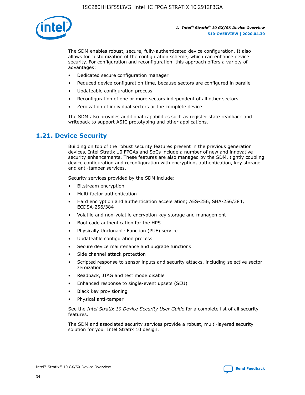

The SDM enables robust, secure, fully-authenticated device configuration. It also allows for customization of the configuration scheme, which can enhance device security. For configuration and reconfiguration, this approach offers a variety of advantages:

- Dedicated secure configuration manager
- Reduced device configuration time, because sectors are configured in parallel
- Updateable configuration process
- Reconfiguration of one or more sectors independent of all other sectors
- Zeroization of individual sectors or the complete device

The SDM also provides additional capabilities such as register state readback and writeback to support ASIC prototyping and other applications.

### **1.21. Device Security**

Building on top of the robust security features present in the previous generation devices, Intel Stratix 10 FPGAs and SoCs include a number of new and innovative security enhancements. These features are also managed by the SDM, tightly coupling device configuration and reconfiguration with encryption, authentication, key storage and anti-tamper services.

Security services provided by the SDM include:

- Bitstream encryption
- Multi-factor authentication
- Hard encryption and authentication acceleration; AES-256, SHA-256/384, ECDSA-256/384
- Volatile and non-volatile encryption key storage and management
- Boot code authentication for the HPS
- Physically Unclonable Function (PUF) service
- Updateable configuration process
- Secure device maintenance and upgrade functions
- Side channel attack protection
- Scripted response to sensor inputs and security attacks, including selective sector zeroization
- Readback, JTAG and test mode disable
- Enhanced response to single-event upsets (SEU)
- Black key provisioning
- Physical anti-tamper

See the *Intel Stratix 10 Device Security User Guide* for a complete list of all security features.

The SDM and associated security services provide a robust, multi-layered security solution for your Intel Stratix 10 design.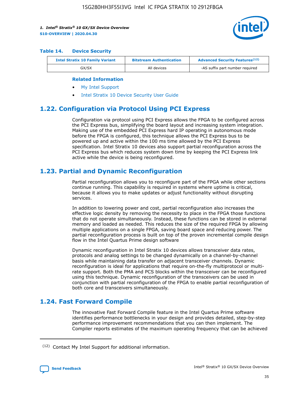

#### **Table 14. Device Security**

| <b>Intel Stratix 10 Family Variant</b> | <b>Bitstream Authentication</b> | <b>Advanced Security Features</b> <sup>(12)</sup> |
|----------------------------------------|---------------------------------|---------------------------------------------------|
| GX/SX                                  | All devices                     | -AS suffix part number required                   |

#### **Related Information**

- [My Intel Support](https://www.intel.com/content/www/us/en/programmable/my-intel/mal-home.html)
- [Intel Stratix 10 Device Security User Guide](https://www.intel.com/content/www/us/en/programmable/documentation/ndq1483601370898.html#wcd1483611014402)

# **1.22. Configuration via Protocol Using PCI Express**

Configuration via protocol using PCI Express allows the FPGA to be configured across the PCI Express bus, simplifying the board layout and increasing system integration. Making use of the embedded PCI Express hard IP operating in autonomous mode before the FPGA is configured, this technique allows the PCI Express bus to be powered up and active within the 100 ms time allowed by the PCI Express specification. Intel Stratix 10 devices also support partial reconfiguration across the PCI Express bus which reduces system down time by keeping the PCI Express link active while the device is being reconfigured.

### **1.23. Partial and Dynamic Reconfiguration**

Partial reconfiguration allows you to reconfigure part of the FPGA while other sections continue running. This capability is required in systems where uptime is critical, because it allows you to make updates or adjust functionality without disrupting services.

In addition to lowering power and cost, partial reconfiguration also increases the effective logic density by removing the necessity to place in the FPGA those functions that do not operate simultaneously. Instead, these functions can be stored in external memory and loaded as needed. This reduces the size of the required FPGA by allowing multiple applications on a single FPGA, saving board space and reducing power. The partial reconfiguration process is built on top of the proven incremental compile design flow in the Intel Quartus Prime design software

Dynamic reconfiguration in Intel Stratix 10 devices allows transceiver data rates, protocols and analog settings to be changed dynamically on a channel-by-channel basis while maintaining data transfer on adjacent transceiver channels. Dynamic reconfiguration is ideal for applications that require on-the-fly multiprotocol or multirate support. Both the PMA and PCS blocks within the transceiver can be reconfigured using this technique. Dynamic reconfiguration of the transceivers can be used in conjunction with partial reconfiguration of the FPGA to enable partial reconfiguration of both core and transceivers simultaneously.

# **1.24. Fast Forward Compile**

The innovative Fast Forward Compile feature in the Intel Quartus Prime software identifies performance bottlenecks in your design and provides detailed, step-by-step performance improvement recommendations that you can then implement. The Compiler reports estimates of the maximum operating frequency that can be achieved

<sup>(12)</sup> Contact My Intel Support for additional information.

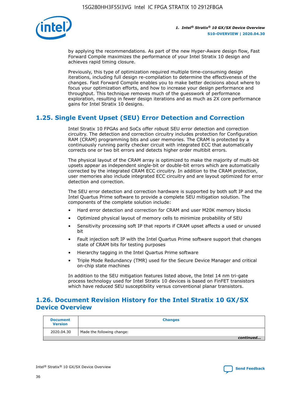

by applying the recommendations. As part of the new Hyper-Aware design flow, Fast Forward Compile maximizes the performance of your Intel Stratix 10 design and achieves rapid timing closure.

Previously, this type of optimization required multiple time-consuming design iterations, including full design re-compilation to determine the effectiveness of the changes. Fast Forward Compile enables you to make better decisions about where to focus your optimization efforts, and how to increase your design performance and throughput. This technique removes much of the guesswork of performance exploration, resulting in fewer design iterations and as much as 2X core performance gains for Intel Stratix 10 designs.

# **1.25. Single Event Upset (SEU) Error Detection and Correction**

Intel Stratix 10 FPGAs and SoCs offer robust SEU error detection and correction circuitry. The detection and correction circuitry includes protection for Configuration RAM (CRAM) programming bits and user memories. The CRAM is protected by a continuously running parity checker circuit with integrated ECC that automatically corrects one or two bit errors and detects higher order multibit errors.

The physical layout of the CRAM array is optimized to make the majority of multi-bit upsets appear as independent single-bit or double-bit errors which are automatically corrected by the integrated CRAM ECC circuitry. In addition to the CRAM protection, user memories also include integrated ECC circuitry and are layout optimized for error detection and correction.

The SEU error detection and correction hardware is supported by both soft IP and the Intel Quartus Prime software to provide a complete SEU mitigation solution. The components of the complete solution include:

- Hard error detection and correction for CRAM and user M20K memory blocks
- Optimized physical layout of memory cells to minimize probability of SEU
- Sensitivity processing soft IP that reports if CRAM upset affects a used or unused bit
- Fault injection soft IP with the Intel Quartus Prime software support that changes state of CRAM bits for testing purposes
- Hierarchy tagging in the Intel Quartus Prime software
- Triple Mode Redundancy (TMR) used for the Secure Device Manager and critical on-chip state machines

In addition to the SEU mitigation features listed above, the Intel 14 nm tri-gate process technology used for Intel Stratix 10 devices is based on FinFET transistors which have reduced SEU susceptibility versus conventional planar transistors.

# **1.26. Document Revision History for the Intel Stratix 10 GX/SX Device Overview**

| <b>Document</b><br><b>Version</b> | <b>Changes</b>             |
|-----------------------------------|----------------------------|
| 2020.04.30                        | Made the following change: |
|                                   | continued                  |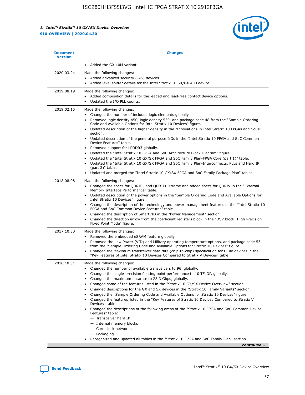

| <b>Document</b><br><b>Version</b> | <b>Changes</b>                                                                                                                                                                                                                                                                                                                                                                                                                                                                                                                                                                                                                                                                                                                                                                                                                                                                                                                                                                                              |
|-----------------------------------|-------------------------------------------------------------------------------------------------------------------------------------------------------------------------------------------------------------------------------------------------------------------------------------------------------------------------------------------------------------------------------------------------------------------------------------------------------------------------------------------------------------------------------------------------------------------------------------------------------------------------------------------------------------------------------------------------------------------------------------------------------------------------------------------------------------------------------------------------------------------------------------------------------------------------------------------------------------------------------------------------------------|
|                                   | Added the GX 10M variant.                                                                                                                                                                                                                                                                                                                                                                                                                                                                                                                                                                                                                                                                                                                                                                                                                                                                                                                                                                                   |
| 2020.03.24                        | Made the following changes:<br>Added advanced security (-AS) devices.<br>Added level shifter details for the Intel Stratix 10 SX/GX 400 device.                                                                                                                                                                                                                                                                                                                                                                                                                                                                                                                                                                                                                                                                                                                                                                                                                                                             |
| 2019.08.19                        | Made the following changes:<br>Added composition details for the leaded and lead-free contact device options.<br>$\bullet$<br>Updated the I/O PLL counts.                                                                                                                                                                                                                                                                                                                                                                                                                                                                                                                                                                                                                                                                                                                                                                                                                                                   |
| 2019.02.15                        | Made the following changes:<br>Changed the number of included logic elements globally.<br>$\bullet$<br>Removed logic density 450, logic density 550, and package code 48 from the "Sample Ordering<br>$\bullet$<br>Code and Available Options for Intel Stratix 10 Devices" figure.<br>Updated description of the higher density in the "Innovations in Intel Stratix 10 FPGAs and SoCs"<br>section.<br>Updated description of the general purpose I/Os in the "Intel Stratix 10 FPGA and SoC Common<br>$\bullet$<br>Device Features" table.<br>Removed support for LPDDR3 globally.<br>Updated the "Intel Stratix 10 FPGA and SoC Architecture Block Diagram" figure.<br>$\bullet$<br>Updated the "Intel Stratix 10 GX/SX FPGA and SoC Family Plan-FPGA Core (part 1)" table.<br>$\bullet$<br>Updated the "Intel Stratix 10 GX/SX FPGA and SoC Family Plan-Interconnects, PLLs and Hard IP<br>(part 2)" table.<br>Updated and merged the "Intel Stratix 10 GX/SX FPGA and SoC Family Package Plan" tables. |
| 2018.08.08                        | Made the following changes:<br>Changed the specs for QDRII+ and QDRII+ Xtreme and added specs for QDRIV in the "External<br>$\bullet$<br>Memory Interface Performance" table.<br>Updated description of the power options in the "Sample Ordering Code and Available Options for<br>Intel Stratix 10 Devices" figure.<br>Changed the description of the technology and power management features in the "Intel Stratix 10<br>FPGA and SoC Common Device Features" table.<br>Changed the description of SmartVID in the "Power Management" section.<br>Changed the direction arrow from the coefficient registers block in the "DSP Block: High Precision<br>$\bullet$<br>Fixed Point Mode" figure.                                                                                                                                                                                                                                                                                                          |
| 2017.10.30                        | Made the following changes:<br>Removed the embedded eSRAM feature globally.<br>$\bullet$<br>Removed the Low Power (VID) and Military operating temperature options, and package code 53<br>$\bullet$<br>from the "Sample Ordering Code and Available Options for Stratix 10 Devices" figure.<br>Changed the Maximum transceiver data rate (chip-to-chip) specification for L-Tile devices in the<br>"Key Features of Intel Stratix 10 Devices Compared to Stratix V Devices" table.                                                                                                                                                                                                                                                                                                                                                                                                                                                                                                                         |
| 2016.10.31                        | Made the following changes:<br>• Changed the number of available transceivers to 96, globally.<br>Changed the single-precision floating point performance to 10 TFLOP, globally.<br>Changed the maximum datarate to 28.3 Gbps, globally.<br>٠<br>Changed some of the features listed in the "Stratix 10 GX/SX Device Overview" section.<br>$\bullet$<br>Changed descriptions for the GX and SX devices in the "Stratix 10 Family Variants" section.<br>$\bullet$<br>Changed the "Sample Ordering Code and Available Options for Stratix 10 Devices" figure.<br>Changed the features listed in the "Key Features of Stratix 10 Devices Compared to Stratix V<br>Devices" table.<br>Changed the descriptions of the following areas of the "Stratix 10 FPGA and SoC Common Device<br>Features" table:<br>- Transceiver hard IP<br>- Internal memory blocks<br>- Core clock networks<br>- Packaging<br>Reorganized and updated all tables in the "Stratix 10 FPGA and SoC Family Plan" section.                |
|                                   | continued                                                                                                                                                                                                                                                                                                                                                                                                                                                                                                                                                                                                                                                                                                                                                                                                                                                                                                                                                                                                   |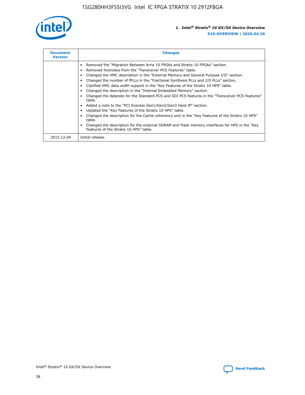

| <b>Document</b><br><b>Version</b> | <b>Changes</b>                                                                                                                                                                                                                                                                                                                                                                                                                                                                                                                                                                                                                                                                                                                                                                                                                                                                                                                                                                                     |
|-----------------------------------|----------------------------------------------------------------------------------------------------------------------------------------------------------------------------------------------------------------------------------------------------------------------------------------------------------------------------------------------------------------------------------------------------------------------------------------------------------------------------------------------------------------------------------------------------------------------------------------------------------------------------------------------------------------------------------------------------------------------------------------------------------------------------------------------------------------------------------------------------------------------------------------------------------------------------------------------------------------------------------------------------|
|                                   | Removed the "Migration Between Arria 10 FPGAs and Stratix 10 FPGAs" section.<br>Removed footnotes from the "Transceiver PCS Features" table.<br>Changed the HMC description in the "External Memory and General Purpose I/O" section.<br>Changed the number of fPLLs in the "Fractional Synthesis PLLs and I/O PLLs" section.<br>Clarified HMC data width support in the "Key Features of the Stratix 10 HPS" table.<br>Changed the description in the "Internal Embedded Memory" section.<br>Changed the datarate for the Standard PCS and SDI PCS features in the "Transceiver PCS Features"<br>table.<br>Added a note to the "PCI Express Gen1/Gen2/Gen3 Hard IP" section.<br>Updated the "Key Features of the Stratix 10 HPS" table.<br>Changed the description for the Cache coherency unit in the "Key Features of the Stratix 10 HPS"<br>table.<br>Changed the description for the external SDRAM and Flash memory interfaces for HPS in the "Key<br>Features of the Stratix 10 HPS" table. |
| 2015.12.04                        | Initial release.                                                                                                                                                                                                                                                                                                                                                                                                                                                                                                                                                                                                                                                                                                                                                                                                                                                                                                                                                                                   |